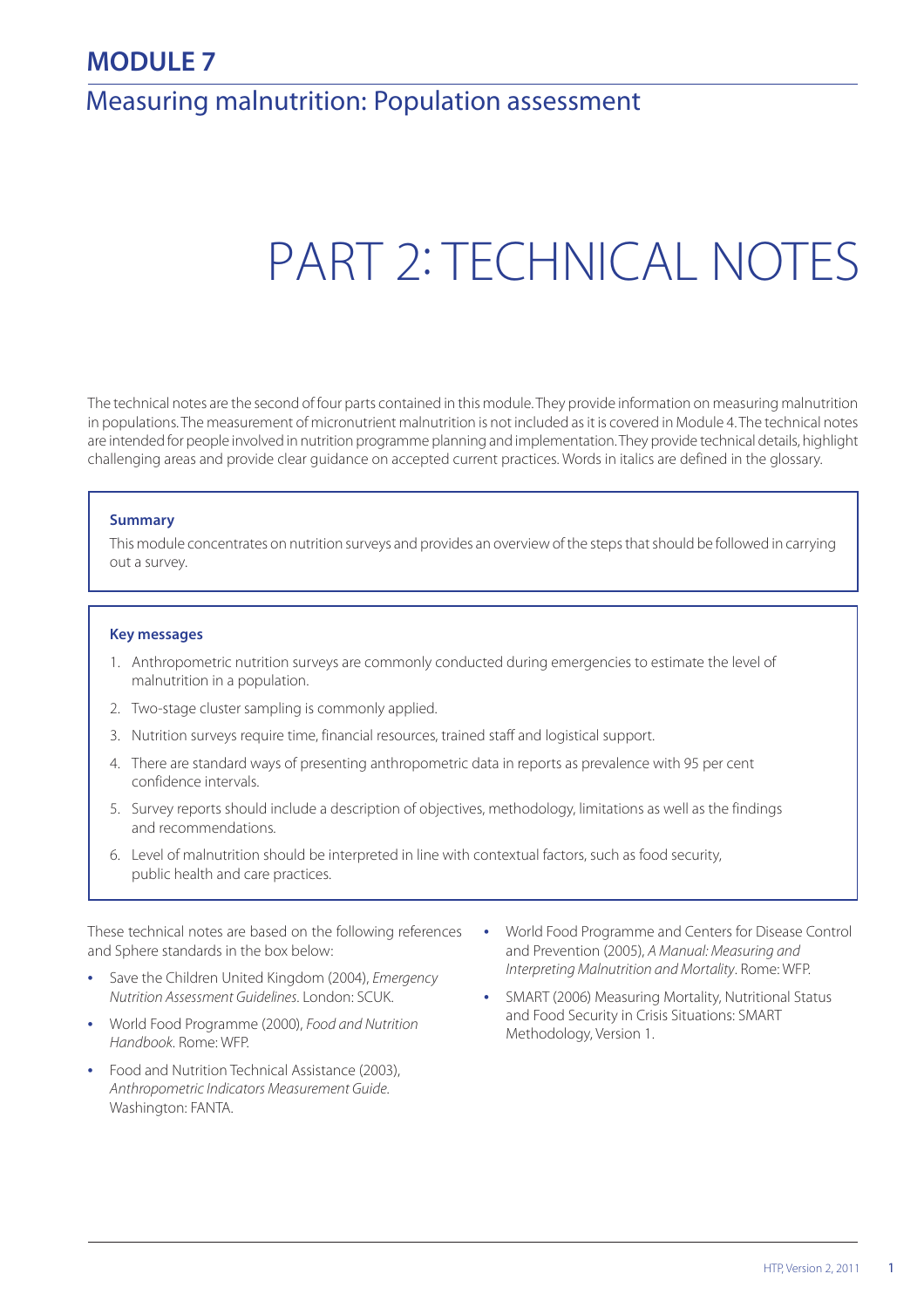# **MODULE 7**

# Measuring malnutrition: Population assessment

# PART 2: TECHNICAL NOTES

The technical notes are the second of four parts contained in this module. They provide information on measuring malnutrition in populations. The measurement of micronutrient malnutrition is not included as it is covered in Module 4. The technical notes are intended for people involved in nutrition programme planning and implementation. They provide technical details, highlight challenging areas and provide clear guidance on accepted current practices. Words in italics are defined in the glossary.

#### **Summary**

This module concentrates on nutrition surveys and provides an overview of the steps that should be followed in carrying out a survey.

#### **Key messages**

- 1. Anthropometric nutrition surveys are commonly conducted during emergencies to estimate the level of malnutrition in a population.
- 2. Two-stage cluster sampling is commonly applied.
- 3. Nutrition surveys require time, financial resources, trained staff and logistical support.
- 4. There are standard ways of presenting anthropometric data in reports as prevalence with 95 per cent confidence intervals.
- 5. Survey reports should include a description of objectives, methodology, limitations as well as the findings and recommendations.
- 6. Level of malnutrition should be interpreted in line with contextual factors, such as food security, public health and care practices.

These technical notes are based on the following references and Sphere standards in the box below:

- **•** Save the Children United Kingdom (2004), Emergency Nutrition Assessment Guidelines. London: SCUK.
- **•** World Food Programme (2000), Food and Nutrition Handbook. Rome: WFP.
- **•** Food and Nutrition Technical Assistance (2003), Anthropometric Indicators Measurement Guide. Washington: FANTA.
- **•** World Food Programme and Centers for Disease Control and Prevention (2005), A Manual: Measuring and Interpreting Malnutrition and Mortality. Rome: WFP.
- **•** SMART (2006) Measuring Mortality, Nutritional Status and Food Security in Crisis Situations: SMART Methodology, Version 1.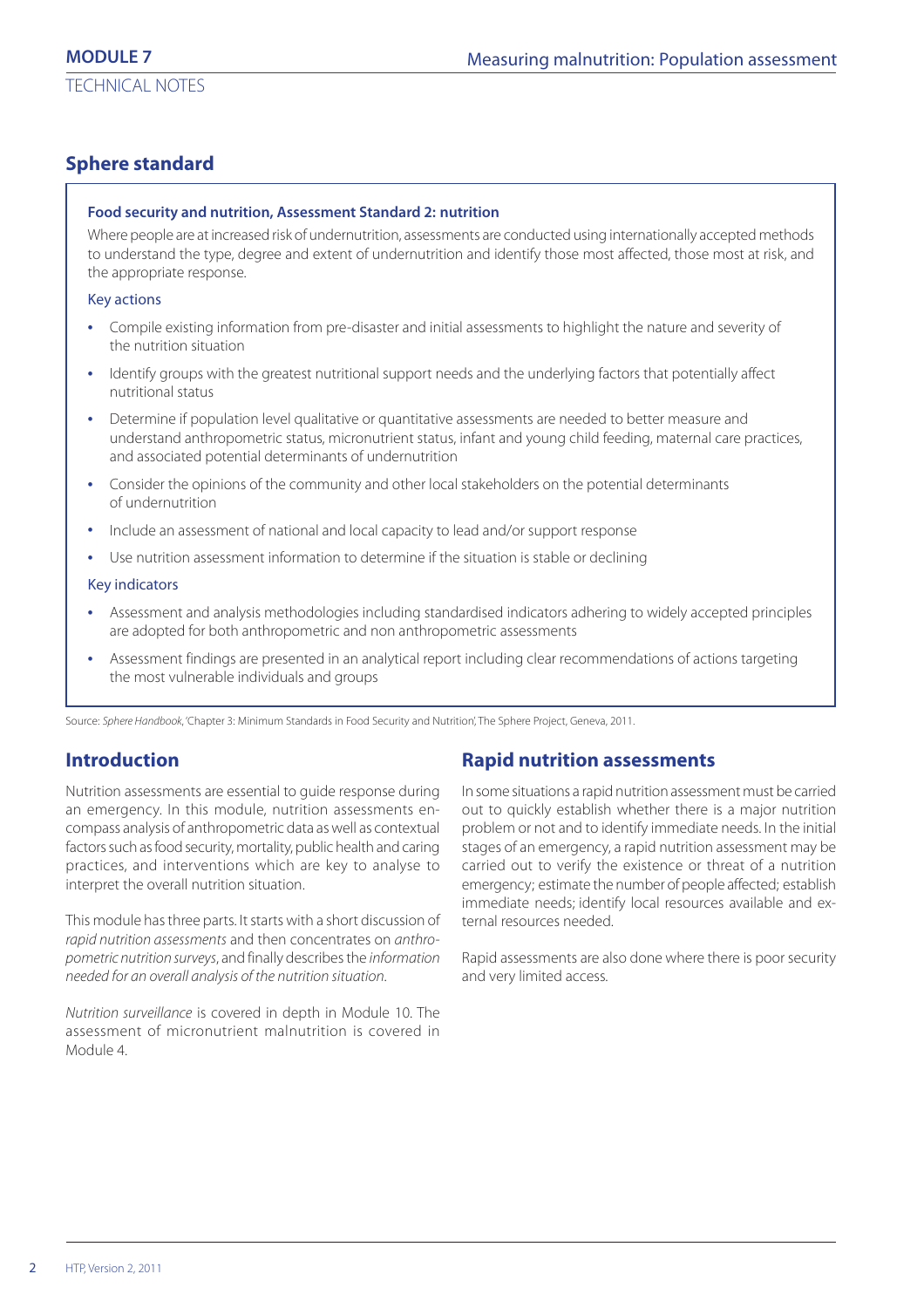# **Sphere standard**

#### **Food security and nutrition, Assessment Standard 2: nutrition**

Where people are at increased risk of undernutrition, assessments are conducted using internationally accepted methods to understand the type, degree and extent of undernutrition and identify those most affected, those most at risk, and the appropriate response.

#### Key actions

- **•** Compile existing information from pre-disaster and initial assessments to highlight the nature and severity of the nutrition situation
- **•** Identify groups with the greatest nutritional support needs and the underlying factors that potentially affect nutritional status
- **•** Determine if population level qualitative or quantitative assessments are needed to better measure and understand anthropometric status, micronutrient status, infant and young child feeding, maternal care practices, and associated potential determinants of undernutrition
- **•** Consider the opinions of the community and other local stakeholders on the potential determinants of undernutrition
- **•** Include an assessment of national and local capacity to lead and/or support response
- **•** Use nutrition assessment information to determine if the situation is stable or declining

#### Key indicators

- **•** Assessment and analysis methodologies including standardised indicators adhering to widely accepted principles are adopted for both anthropometric and non anthropometric assessments
- **•** Assessment findings are presented in an analytical report including clear recommendations of actions targeting the most vulnerable individuals and groups

Source: Sphere Handbook, 'Chapter 3: Minimum Standards in Food Security and Nutrition', The Sphere Project, Geneva, 2011.

# **Introduction**

Nutrition assessments are essential to guide response during an emergency. In this module, nutrition assessments encompass analysis of anthropometric data as well as contextual factors such as food security, mortality, public health and caring practices, and interventions which are key to analyse to interpret the overall nutrition situation.

This module has three parts. It starts with a short discussion of rapid nutrition assessments and then concentrates on anthropometric nutrition surveys, and finally describes the information needed for an overall analysis of the nutrition situation.

Nutrition surveillance is covered in depth in Module 10. The assessment of micronutrient malnutrition is covered in Module 4.

# **Rapid nutrition assessments**

In some situations a rapid nutrition assessment must be carried out to quickly establish whether there is a major nutrition problem or not and to identify immediate needs. In the initial stages of an emergency, a rapid nutrition assessment may be carried out to verify the existence or threat of a nutrition emergency; estimate the number of people affected; establish immediate needs; identify local resources available and external resources needed.

Rapid assessments are also done where there is poor security and very limited access.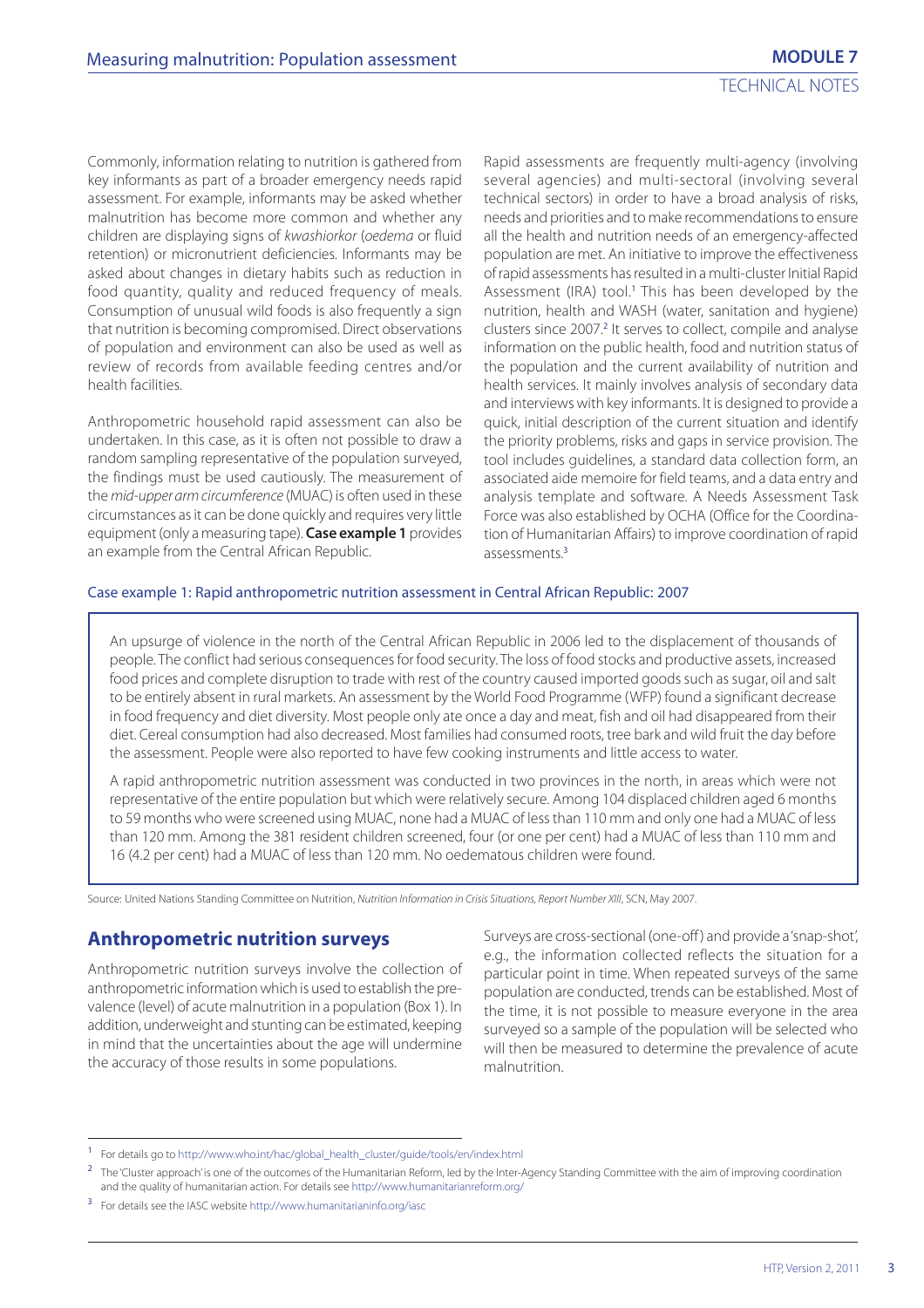Commonly, information relating to nutrition is gathered from key informants as part of a broader emergency needs rapid assessment. For example, informants may be asked whether malnutrition has become more common and whether any children are displaying signs of kwashiorkor (oedema or fluid retention) or micronutrient deficiencies. Informants may be asked about changes in dietary habits such as reduction in food quantity, quality and reduced frequency of meals. Consumption of unusual wild foods is also frequently a sign that nutrition is becoming compromised. Direct observations of population and environment can also be used as well as review of records from available feeding centres and/or health facilities.

Anthropometric household rapid assessment can also be undertaken. In this case, as it is often not possible to draw a random sampling representative of the population surveyed, the findings must be used cautiously. The measurement of the mid-upper arm circumference (MUAC) is often used in these circumstances as it can be done quickly and requires very little equipment (only a measuring tape). **Case example 1** provides an example from the Central African Republic.

Rapid assessments are frequently multi-agency (involving several agencies) and multi-sectoral (involving several technical sectors) in order to have a broad analysis of risks, needs and priorities and to make recommendations to ensure all the health and nutrition needs of an emergency-affected population are met. An initiative to improve the effectiveness of rapid assessments has resulted in a multi-cluster Initial Rapid Assessment (IRA) tool.<sup>1</sup> This has been developed by the nutrition, health and WASH (water, sanitation and hygiene) clusters since 2007.<sup>2</sup> It serves to collect, compile and analyse information on the public health, food and nutrition status of the population and the current availability of nutrition and health services. It mainly involves analysis of secondary data and interviews with key informants. It is designed to provide a quick, initial description of the current situation and identify the priority problems, risks and gaps in service provision. The tool includes guidelines, a standard data collection form, an associated aide memoire for field teams, and a data entry and analysis template and software. A Needs Assessment Task Force was also established by OCHA (Office for the Coordination of Humanitarian Affairs) to improve coordination of rapid assessments.<sup>3</sup>

#### Case example 1: Rapid anthropometric nutrition assessment in Central African Republic: 2007

An upsurge of violence in the north of the Central African Republic in 2006 led to the displacement of thousands of people. The conflict had serious consequences for food security. The loss of food stocks and productive assets, increased food prices and complete disruption to trade with rest of the country caused imported goods such as sugar, oil and salt to be entirely absent in rural markets. An assessment by the World Food Programme (WFP) found a significant decrease in food frequency and diet diversity. Most people only ate once a day and meat, fish and oil had disappeared from their diet. Cereal consumption had also decreased. Most families had consumed roots, tree bark and wild fruit the day before the assessment. People were also reported to have few cooking instruments and little access to water.

A rapid anthropometric nutrition assessment was conducted in two provinces in the north, in areas which were not representative of the entire population but which were relatively secure. Among 104 displaced children aged 6 months to 59 months who were screened using MUAC, none had a MUAC of less than 110 mm and only one had a MUAC of less than 120 mm. Among the 381 resident children screened, four (or one per cent) had a MUAC of less than 110 mm and 16 (4.2 per cent) had a MUAC of less than 120 mm. No oedematous children were found.

Source: United Nations Standing Committee on Nutrition, Nutrition Information in Crisis Situations, Report Number XIII, SCN, May 2007.

#### **Anthropometric nutrition surveys**

Anthropometric nutrition surveys involve the collection of anthropometric information which is used to establish the prevalence (level) of acute malnutrition in a population (Box 1). In addition, underweight and stunting can be estimated, keeping in mind that the uncertainties about the age will undermine the accuracy of those results in some populations.

Surveys are cross-sectional (one-off ) and provide a 'snap-shot', e.g., the information collected reflects the situation for a particular point in time. When repeated surveys of the same population are conducted, trends can be established. Most of the time, it is not possible to measure everyone in the area surveyed so a sample of the population will be selected who will then be measured to determine the prevalence of acute malnutrition.

<sup>1</sup> For details go to http://www.who.int/hac/global\_health\_cluster/guide/tools/en/index.html

The 'Cluster approach' is one of the outcomes of the Humanitarian Reform, led by the Inter-Agency Standing Committee with the aim of improving coordination and the quality of humanitarian action. For details see http://www.humanitarianreform.org/

<sup>3</sup> For details see the IASC website http://www.humanitarianinfo.org/iasc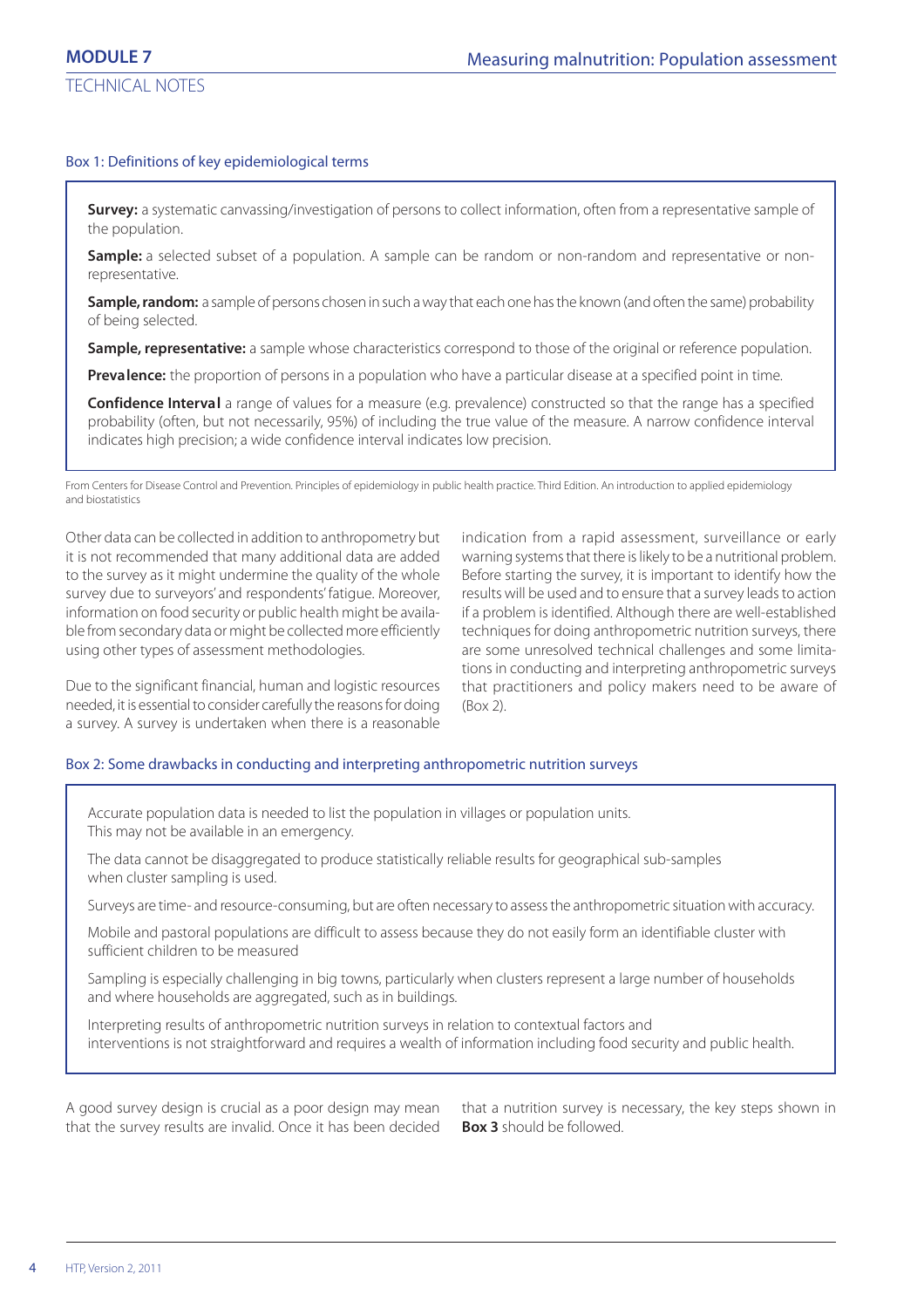#### Box 1: Definitions of key epidemiological terms

**Survey:** a systematic canvassing/investigation of persons to collect information, often from a representative sample of the population.

**Sample:** a selected subset of a population. A sample can be random or non-random and representative or nonrepresentative.

**Sample, random:** a sample of persons chosen in such a way that each one has the known (and often the same) probability of being selected.

**Sample, representative:** a sample whose characteristics correspond to those of the original or reference population.

**Prevalence:** the proportion of persons in a population who have a particular disease at a specified point in time.

**Confidence Interval** a range of values for a measure (e.g. prevalence) constructed so that the range has a specified probability (often, but not necessarily, 95%) of including the true value of the measure. A narrow confidence interval indicates high precision; a wide confidence interval indicates low precision.

From Centers for Disease Control and Prevention. Principles of epidemiology in public health practice. Third Edition. An introduction to applied epidemiology and biostatistics

Other data can be collected in addition to anthropometry but it is not recommended that many additional data are added to the survey as it might undermine the quality of the whole survey due to surveyors' and respondents' fatigue. Moreover, information on food security or public health might be available from secondary data or might be collected more efficiently using other types of assessment methodologies.

Due to the significant financial, human and logistic resources needed, it is essential to consider carefully the reasons for doing a survey. A survey is undertaken when there is a reasonable

indication from a rapid assessment, surveillance or early warning systems that there is likely to be a nutritional problem. Before starting the survey, it is important to identify how the results will be used and to ensure that a survey leads to action if a problem is identified. Although there are well-established techniques for doing anthropometric nutrition surveys, there are some unresolved technical challenges and some limitations in conducting and interpreting anthropometric surveys that practitioners and policy makers need to be aware of (Box 2).

#### Box 2: Some drawbacks in conducting and interpreting anthropometric nutrition surveys

Accurate population data is needed to list the population in villages or population units. This may not be available in an emergency.

The data cannot be disaggregated to produce statistically reliable results for geographical sub-samples when cluster sampling is used.

Surveys are time- and resource-consuming, but are often necessary to assess the anthropometric situation with accuracy.

Mobile and pastoral populations are difficult to assess because they do not easily form an identifiable cluster with sufficient children to be measured

Sampling is especially challenging in big towns, particularly when clusters represent a large number of households and where households are aggregated, such as in buildings.

Interpreting results of anthropometric nutrition surveys in relation to contextual factors and interventions is not straightforward and requires a wealth of information including food security and public health.

A good survey design is crucial as a poor design may mean that the survey results are invalid. Once it has been decided that a nutrition survey is necessary, the key steps shown in **Box 3** should be followed.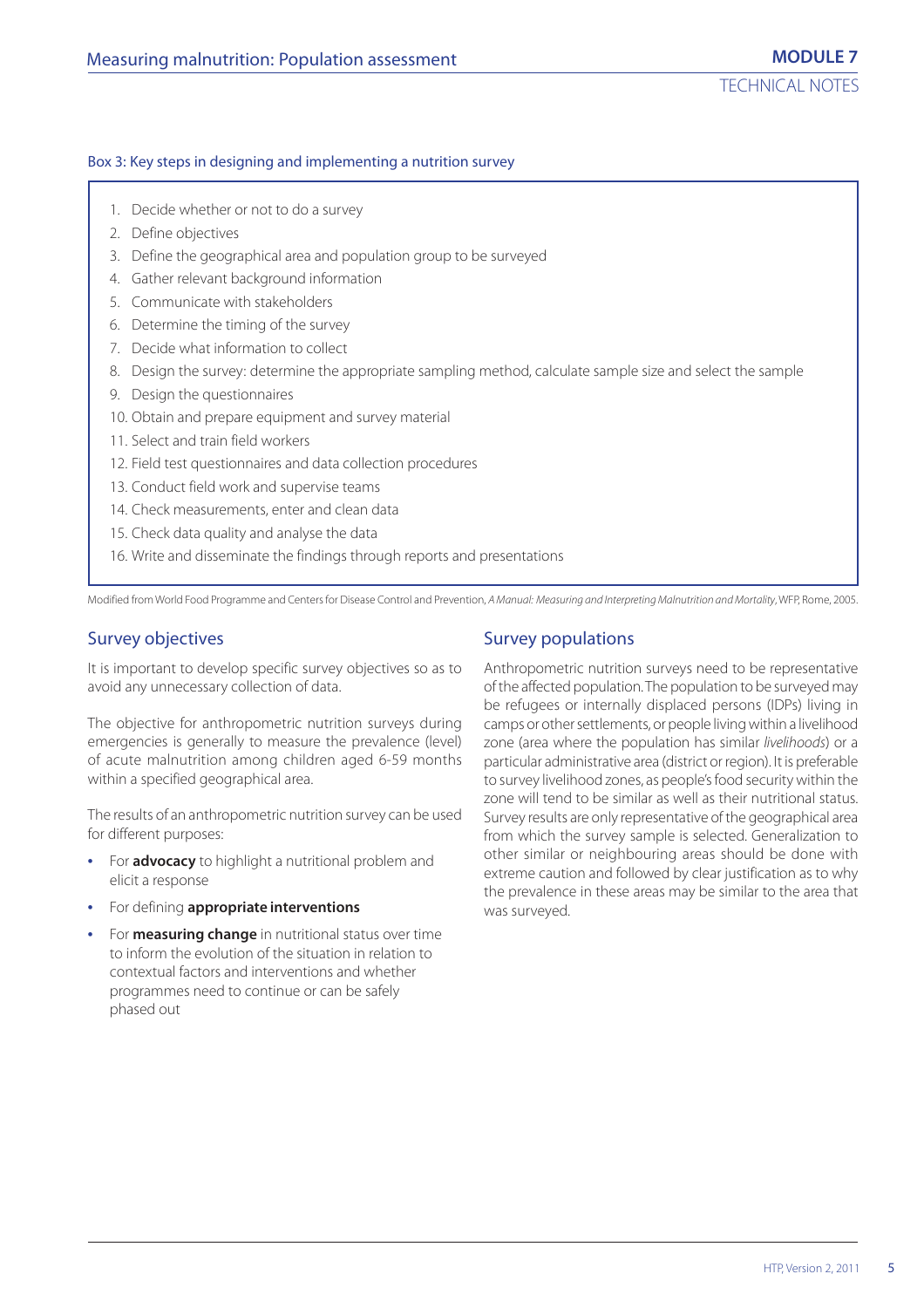#### Box 3: Key steps in designing and implementing a nutrition survey

- 1. Decide whether or not to do a survey
- 2. Define objectives
- 3. Define the geographical area and population group to be surveyed
- 4. Gather relevant background information
- 5. Communicate with stakeholders
- 6. Determine the timing of the survey
- 7. Decide what information to collect
- 8. Design the survey: determine the appropriate sampling method, calculate sample size and select the sample
- 9. Design the questionnaires
- 10. Obtain and prepare equipment and survey material
- 11. Select and train field workers
- 12. Field test questionnaires and data collection procedures
- 13. Conduct field work and supervise teams
- 14. Check measurements, enter and clean data
- 15. Check data quality and analyse the data
- 16. Write and disseminate the findings through reports and presentations

Modified from World Food Programme and Centers for Disease Control and Prevention, A Manual: Measuring and Interpreting Malnutrition and Mortality, WFP, Rome, 2005.

#### Survey objectives

It is important to develop specific survey objectives so as to avoid any unnecessary collection of data.

The objective for anthropometric nutrition surveys during emergencies is generally to measure the prevalence (level) of acute malnutrition among children aged 6-59 months within a specified geographical area.

The results of an anthropometric nutrition survey can be used for different purposes:

- **•** For **advocacy** to highlight a nutritional problem and elicit a response
- **•** For defining **appropriate interventions**
- **•** For **measuring change** in nutritional status over time to inform the evolution of the situation in relation to contextual factors and interventions and whether programmes need to continue or can be safely phased out

#### Survey populations

Anthropometric nutrition surveys need to be representative of the affected population. The population to be surveyed may be refugees or internally displaced persons (IDPs) living in camps or other settlements, or people living within a livelihood zone (area where the population has similar livelihoods) or a particular administrative area (district or region). It is preferable to survey livelihood zones, as people's food security within the zone will tend to be similar as well as their nutritional status. Survey results are only representative of the geographical area from which the survey sample is selected. Generalization to other similar or neighbouring areas should be done with extreme caution and followed by clear justification as to why the prevalence in these areas may be similar to the area that was surveyed.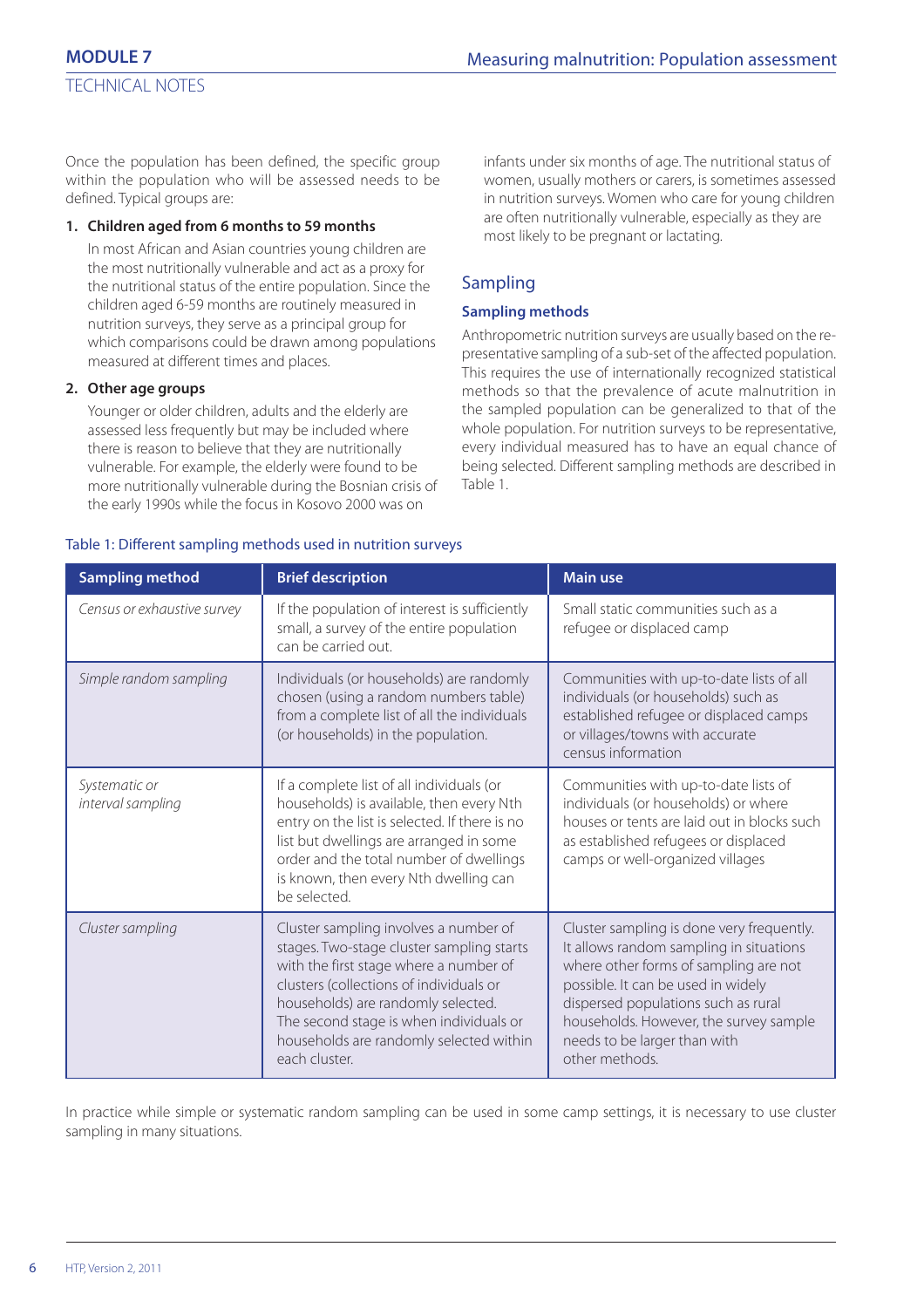Once the population has been defined, the specific group within the population who will be assessed needs to be defined. Typical groups are:

#### **1. Children aged from 6 months to 59 months**

In most African and Asian countries young children are the most nutritionally vulnerable and act as a proxy for the nutritional status of the entire population. Since the children aged 6-59 months are routinely measured in nutrition surveys, they serve as a principal group for which comparisons could be drawn among populations measured at different times and places.

#### **2. Other age groups**

Younger or older children, adults and the elderly are assessed less frequently but may be included where there is reason to believe that they are nutritionally vulnerable. For example, the elderly were found to be more nutritionally vulnerable during the Bosnian crisis of the early 1990s while the focus in Kosovo 2000 was on

infants under six months of age. The nutritional status of women, usually mothers or carers, is sometimes assessed in nutrition surveys. Women who care for young children are often nutritionally vulnerable, especially as they are most likely to be pregnant or lactating.

## Sampling

#### **Sampling methods**

Anthropometric nutrition surveys are usually based on the representative sampling of a sub-set of the affected population. This requires the use of internationally recognized statistical methods so that the prevalence of acute malnutrition in the sampled population can be generalized to that of the whole population. For nutrition surveys to be representative, every individual measured has to have an equal chance of being selected. Different sampling methods are described in Table 1.

| <b>Sampling method</b>             | <b>Brief description</b>                                                                                                                                                                                                                                                                                             | <b>Main use</b>                                                                                                                                                                                                                                                                                        |
|------------------------------------|----------------------------------------------------------------------------------------------------------------------------------------------------------------------------------------------------------------------------------------------------------------------------------------------------------------------|--------------------------------------------------------------------------------------------------------------------------------------------------------------------------------------------------------------------------------------------------------------------------------------------------------|
| Census or exhaustive survey        | If the population of interest is sufficiently<br>small, a survey of the entire population<br>can be carried out.                                                                                                                                                                                                     | Small static communities such as a<br>refugee or displaced camp                                                                                                                                                                                                                                        |
| Simple random sampling             | Individuals (or households) are randomly<br>chosen (using a random numbers table)<br>from a complete list of all the individuals<br>(or households) in the population.                                                                                                                                               | Communities with up-to-date lists of all<br>individuals (or households) such as<br>established refugee or displaced camps<br>or villages/towns with accurate<br>census information                                                                                                                     |
| Systematic or<br>interval sampling | If a complete list of all individuals (or<br>households) is available, then every Nth<br>entry on the list is selected. If there is no<br>list but dwellings are arranged in some<br>order and the total number of dwellings<br>is known, then every Nth dwelling can<br>be selected.                                | Communities with up-to-date lists of<br>individuals (or households) or where<br>houses or tents are laid out in blocks such<br>as established refugees or displaced<br>camps or well-organized villages                                                                                                |
| Cluster sampling                   | Cluster sampling involves a number of<br>stages. Two-stage cluster sampling starts<br>with the first stage where a number of<br>clusters (collections of individuals or<br>households) are randomly selected.<br>The second stage is when individuals or<br>households are randomly selected within<br>each cluster. | Cluster sampling is done very frequently.<br>It allows random sampling in situations<br>where other forms of sampling are not<br>possible. It can be used in widely<br>dispersed populations such as rural<br>households. However, the survey sample<br>needs to be larger than with<br>other methods. |

In practice while simple or systematic random sampling can be used in some camp settings, it is necessary to use cluster sampling in many situations.

#### Table 1: Different sampling methods used in nutrition surveys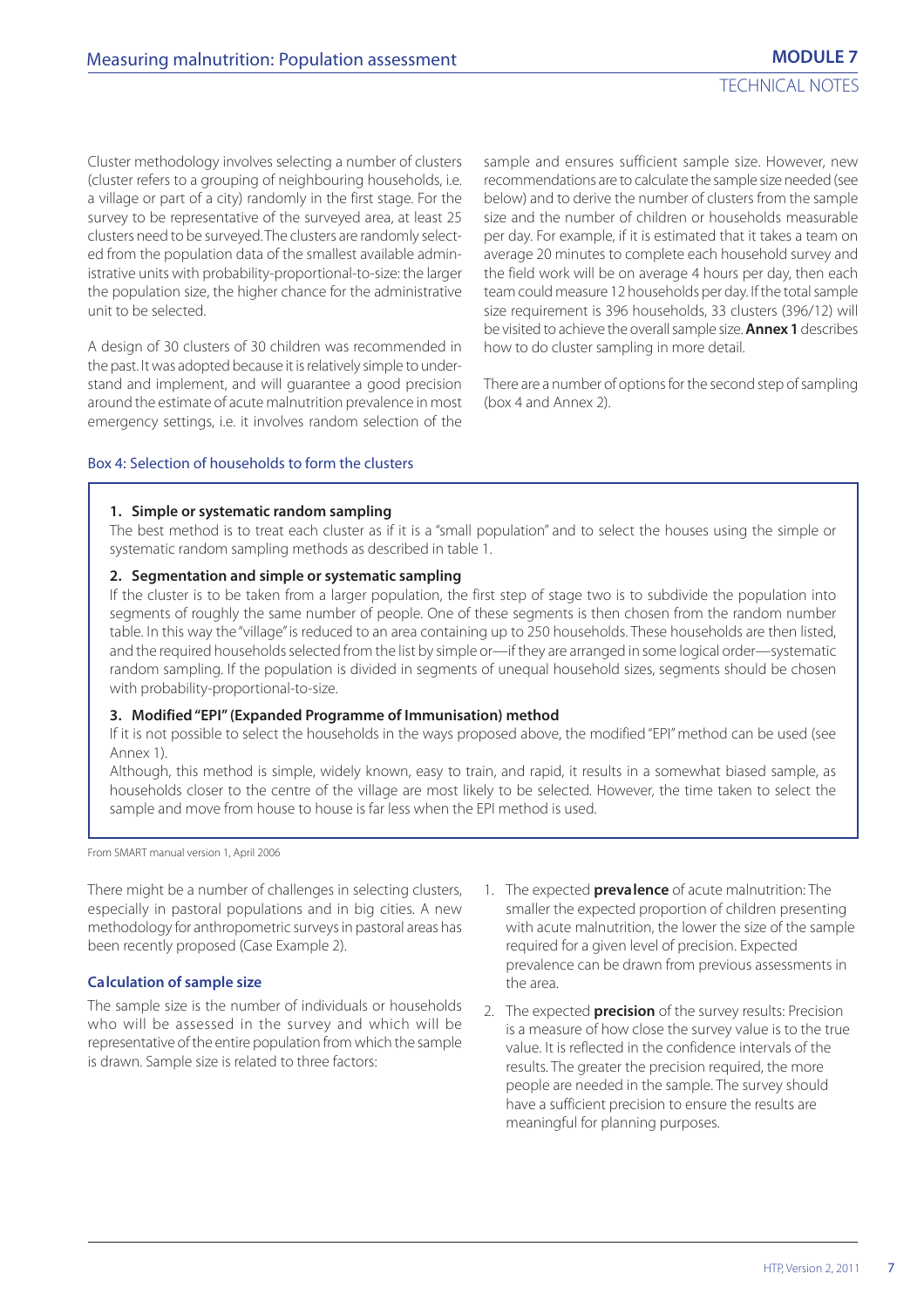Cluster methodology involves selecting a number of clusters (cluster refers to a grouping of neighbouring households, i.e. a village or part of a city) randomly in the first stage. For the survey to be representative of the surveyed area, at least 25 clusters need to be surveyed. The clusters are randomly selected from the population data of the smallest available administrative units with probability-proportional-to-size: the larger the population size, the higher chance for the administrative unit to be selected.

A design of 30 clusters of 30 children was recommended in the past. It was adopted because it is relatively simple to understand and implement, and will guarantee a good precision around the estimate of acute malnutrition prevalence in most emergency settings, i.e. it involves random selection of the sample and ensures sufficient sample size. However, new recommendations are to calculate the sample size needed (see below) and to derive the number of clusters from the sample size and the number of children or households measurable per day. For example, if it is estimated that it takes a team on average 20 minutes to complete each household survey and the field work will be on average 4 hours per day, then each team could measure 12 households per day. If the total sample size requirement is 396 households, 33 clusters (396/12) will be visited to achieve the overall sample size. **Annex 1** describes how to do cluster sampling in more detail.

There are a number of options for the second step of sampling (box 4 and Annex 2).

#### Box 4: Selection of households to form the clusters

#### **1. Simple or systematic random sampling**

The best method is to treat each cluster as if it is a "small population" and to select the houses using the simple or systematic random sampling methods as described in table 1.

#### **2. Segmentation and simple or systematic sampling**

If the cluster is to be taken from a larger population, the first step of stage two is to subdivide the population into segments of roughly the same number of people. One of these segments is then chosen from the random number table. In this way the "village" is reduced to an area containing up to 250 households. These households are then listed, and the required households selected from the list by simple or—if they are arranged in some logical order—systematic random sampling. If the population is divided in segments of unequal household sizes, segments should be chosen with probability-proportional-to-size.

#### **3. Modified "EPI" (Expanded Programme of Immunisation) method**

If it is not possible to select the households in the ways proposed above, the modified "EPI" method can be used (see Annex 1).

Although, this method is simple, widely known, easy to train, and rapid, it results in a somewhat biased sample, as households closer to the centre of the village are most likely to be selected. However, the time taken to select the sample and move from house to house is far less when the EPI method is used.

From SMART manual version 1, April 2006

There might be a number of challenges in selecting clusters, especially in pastoral populations and in big cities. A new methodology for anthropometric surveys in pastoral areas has been recently proposed (Case Example 2).

#### **Calculation of sample size**

The sample size is the number of individuals or households who will be assessed in the survey and which will be representative of the entire population from which the sample is drawn. Sample size is related to three factors:

- 1. The expected **prevalence** of acute malnutrition: The smaller the expected proportion of children presenting with acute malnutrition, the lower the size of the sample required for a given level of precision. Expected prevalence can be drawn from previous assessments in the area.
- 2. The expected **precision** of the survey results: Precision is a measure of how close the survey value is to the true value. It is reflected in the confidence intervals of the results. The greater the precision required, the more people are needed in the sample. The survey should have a sufficient precision to ensure the results are meaningful for planning purposes.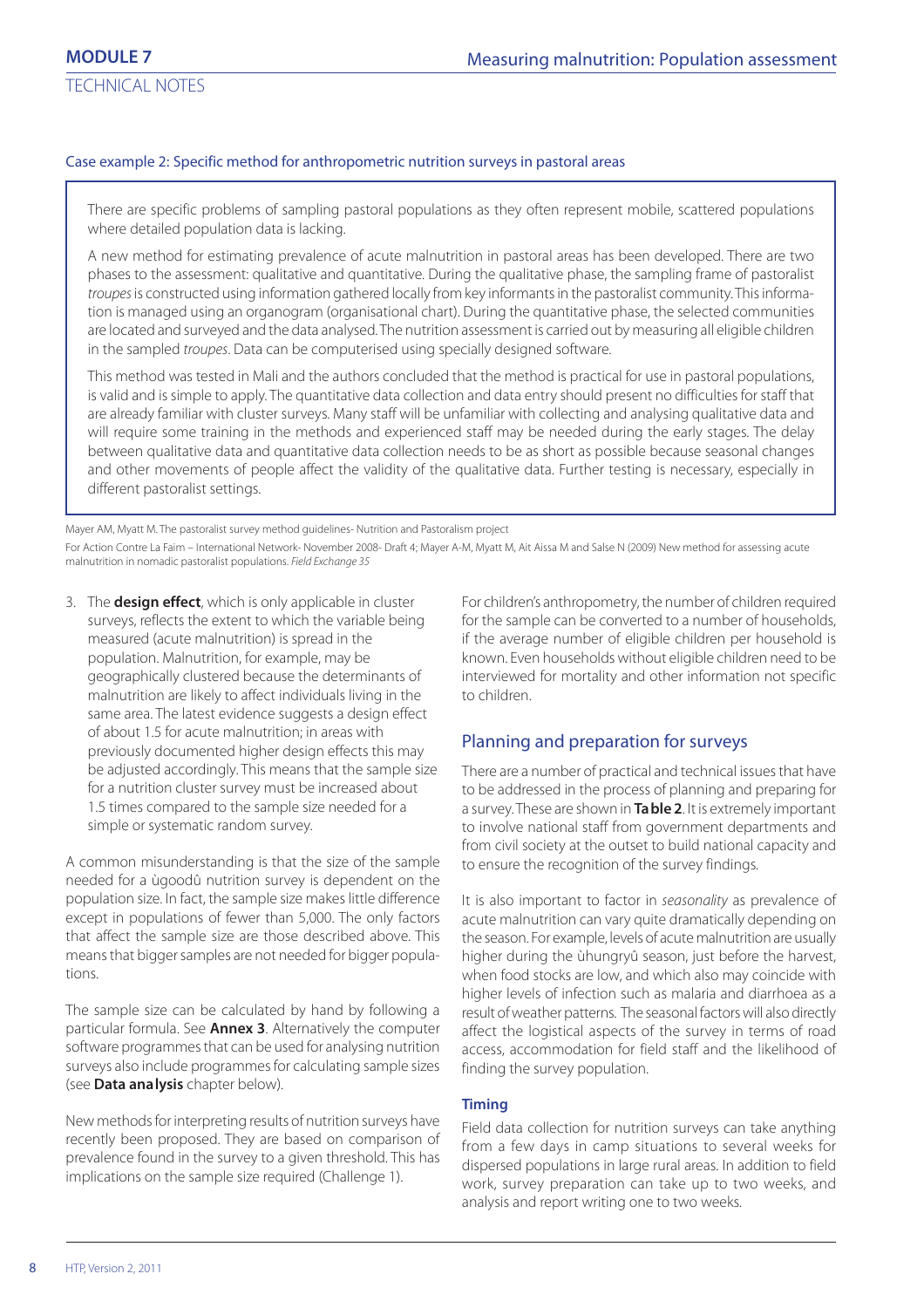TECHNICAL NOTES

#### Case example 2: Specific method for anthropometric nutrition surveys in pastoral areas

There are specific problems of sampling pastoral populations as they often represent mobile, scattered populations where detailed population data is lacking.

A new method for estimating prevalence of acute malnutrition in pastoral areas has been developed. There are two phases to the assessment: qualitative and quantitative. During the qualitative phase, the sampling frame of pastoralist troupes is constructed using information gathered locally from key informants in the pastoralist community. This information is managed using an organogram (organisational chart). During the quantitative phase, the selected communities are located and surveyed and the data analysed. The nutrition assessment is carried out by measuring all eligible children in the sampled troupes. Data can be computerised using specially designed software.

This method was tested in Mali and the authors concluded that the method is practical for use in pastoral populations, is valid and is simple to apply. The quantitative data collection and data entry should present no difficulties for staff that are already familiar with cluster surveys. Many staff will be unfamiliar with collecting and analysing qualitative data and will require some training in the methods and experienced staff may be needed during the early stages. The delay between qualitative data and quantitative data collection needs to be as short as possible because seasonal changes and other movements of people affect the validity of the qualitative data. Further testing is necessary, especially in different pastoralist settings.

Mayer AM, Myatt M. The pastoralist survey method guidelines- Nutrition and Pastoralism project

For Action Contre La Faim – International Network- November 2008- Draft 4; Mayer A-M, Myatt M, Ait Aissa M and Salse N (2009) New method for assessing acute malnutrition in nomadic pastoralist populations. Field Exchange 35

3. The **design effect**, which is only applicable in cluster surveys, reflects the extent to which the variable being measured (acute malnutrition) is spread in the population. Malnutrition, for example, may be geographically clustered because the determinants of malnutrition are likely to affect individuals living in the same area. The latest evidence suggests a design effect of about 1.5 for acute malnutrition; in areas with previously documented higher design effects this may be adjusted accordingly. This means that the sample size for a nutrition cluster survey must be increased about 1.5 times compared to the sample size needed for a simple or systematic random survey.

A common misunderstanding is that the size of the sample needed for a ùgoodû nutrition survey is dependent on the population size. In fact, the sample size makes little difference except in populations of fewer than 5,000. The only factors that affect the sample size are those described above. This means that bigger samples are not needed for bigger populations.

The sample size can be calculated by hand by following a particular formula. See **Annex 3**. Alternatively the computer software programmes that can be used for analysing nutrition surveys also include programmes for calculating sample sizes (see **Data analysis** chapter below).

New methods for interpreting results of nutrition surveys have recently been proposed. They are based on comparison of prevalence found in the survey to a given threshold. This has implications on the sample size required (Challenge 1).

For children's anthropometry, the number of children required for the sample can be converted to a number of households, if the average number of eligible children per household is known. Even households without eligible children need to be interviewed for mortality and other information not specific to children.

#### Planning and preparation for surveys

There are a number of practical and technical issues that have to be addressed in the process of planning and preparing for a survey. These are shown in **Table 2**. It is extremely important to involve national staff from government departments and from civil society at the outset to build national capacity and to ensure the recognition of the survey findings.

It is also important to factor in seasonality as prevalence of acute malnutrition can vary quite dramatically depending on the season. For example, levels of acute malnutrition are usually higher during the ùhungryû season, just before the harvest, when food stocks are low, and which also may coincide with higher levels of infection such as malaria and diarrhoea as a result of weather patterns. The seasonal factors will also directly affect the logistical aspects of the survey in terms of road access, accommodation for field staff and the likelihood of finding the survey population.

#### **Timing**

Field data collection for nutrition surveys can take anything from a few days in camp situations to several weeks for dispersed populations in large rural areas. In addition to field work, survey preparation can take up to two weeks, and analysis and report writing one to two weeks.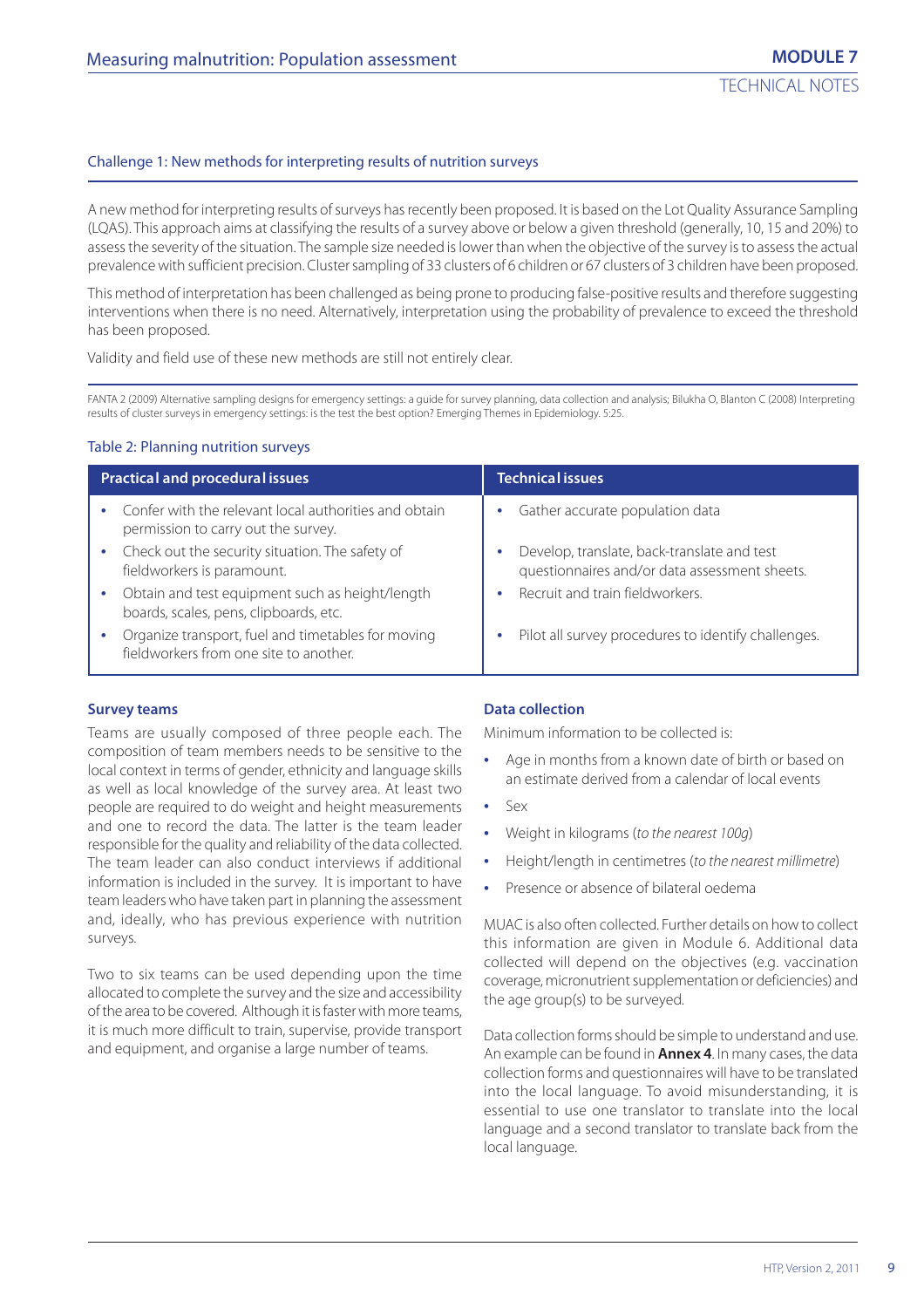#### Challenge 1: New methods for interpreting results of nutrition surveys

A new method for interpreting results of surveys has recently been proposed. It is based on the Lot Quality Assurance Sampling (LQAS). This approach aims at classifying the results of a survey above or below a given threshold (generally, 10, 15 and 20%) to assess the severity of the situation. The sample size needed is lower than when the objective of the survey is to assess the actual prevalence with sufficient precision. Cluster sampling of 33 clusters of 6 children or 67 clusters of 3 children have been proposed.

This method of interpretation has been challenged as being prone to producing false-positive results and therefore suggesting interventions when there is no need. Alternatively, interpretation using the probability of prevalence to exceed the threshold has been proposed.

Validity and field use of these new methods are still not entirely clear.

FANTA 2 (2009) Alternative sampling designs for emergency settings: a guide for survey planning, data collection and analysis; Bilukha O, Blanton C (2008) Interpreting results of cluster surveys in emergency settings: is the test the best option? Emerging Themes in Epidemiology. 5:25.

#### Table 2: Planning nutrition surveys

|           | <b>Practical and procedural issues</b>                                                         | <b>Technical issues</b>                                                                      |
|-----------|------------------------------------------------------------------------------------------------|----------------------------------------------------------------------------------------------|
|           | • Confer with the relevant local authorities and obtain<br>permission to carry out the survey. | Gather accurate population data                                                              |
| $\bullet$ | Check out the security situation. The safety of<br>fieldworkers is paramount.                  | Develop, translate, back-translate and test<br>questionnaires and/or data assessment sheets. |
| ٠         | Obtain and test equipment such as height/length<br>boards, scales, pens, clipboards, etc.      | Recruit and train fieldworkers.                                                              |
| ٠         | Organize transport, fuel and timetables for moving<br>fieldworkers from one site to another.   | Pilot all survey procedures to identify challenges.                                          |

#### **Survey teams**

Teams are usually composed of three people each. The composition of team members needs to be sensitive to the local context in terms of gender, ethnicity and language skills as well as local knowledge of the survey area. At least two people are required to do weight and height measurements and one to record the data. The latter is the team leader responsible for the quality and reliability of the data collected. The team leader can also conduct interviews if additional information is included in the survey. It is important to have team leaders who have taken part in planning the assessment and, ideally, who has previous experience with nutrition surveys.

Two to six teams can be used depending upon the time allocated to complete the survey and the size and accessibility of the area to be covered. Although it is faster with more teams, it is much more difficult to train, supervise, provide transport and equipment, and organise a large number of teams.

#### **Data collection**

Minimum information to be collected is:

- **•** Age in months from a known date of birth or based on an estimate derived from a calendar of local events
- **•** Sex
- **•** Weight in kilograms (to the nearest 100g)
- **•** Height/length in centimetres (to the nearest millimetre)
- **•** Presence or absence of bilateral oedema

MUAC is also often collected. Further details on how to collect this information are given in Module 6. Additional data collected will depend on the objectives (e.g. vaccination coverage, micronutrient supplementation or deficiencies) and the age group(s) to be surveyed.

Data collection forms should be simple to understand and use. An example can be found in **Annex 4**. In many cases, the data collection forms and questionnaires will have to be translated into the local language. To avoid misunderstanding, it is essential to use one translator to translate into the local language and a second translator to translate back from the local language.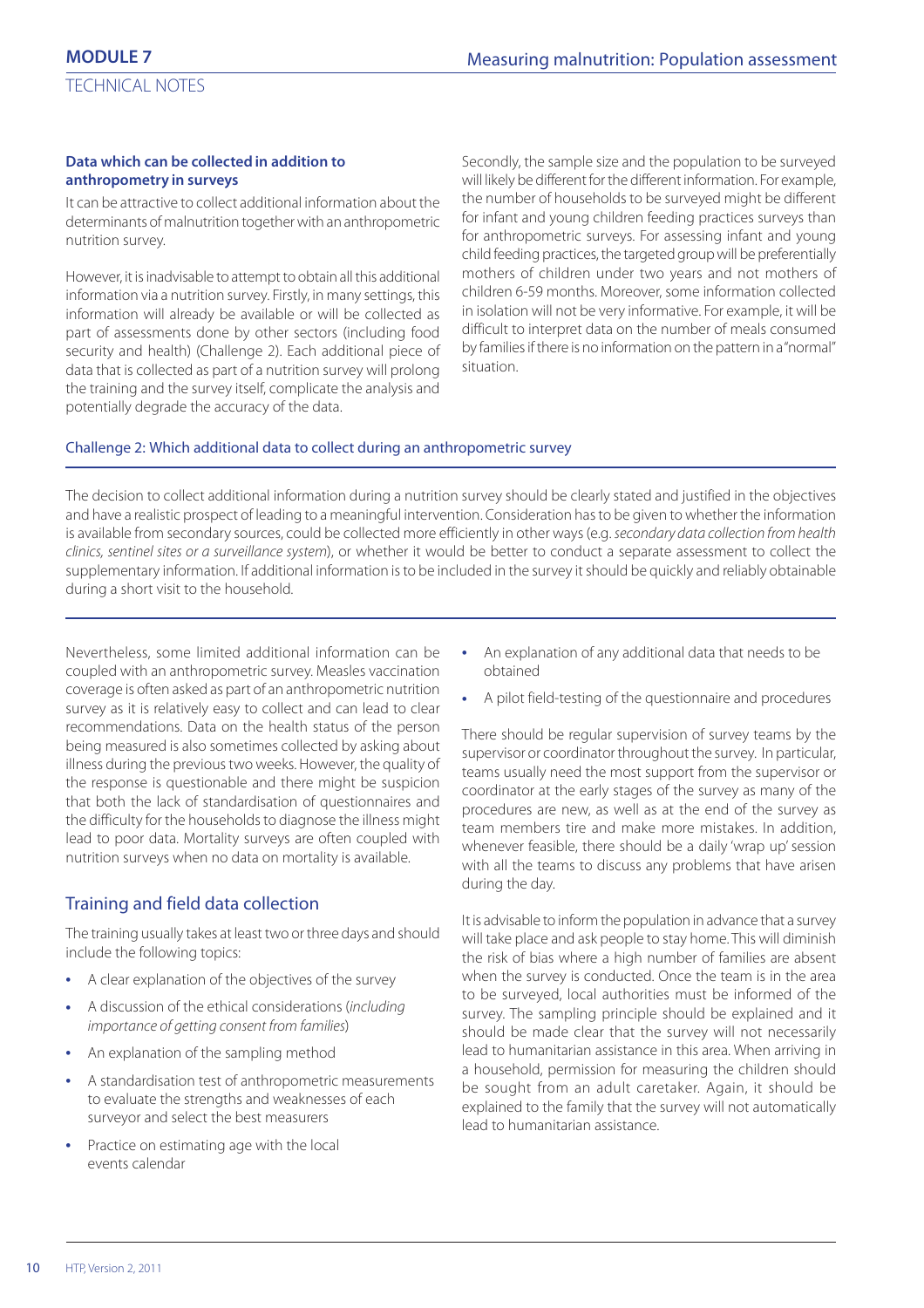#### **Data which can be collected in addition to anthropometry in surveys**

It can be attractive to collect additional information about the determinants of malnutrition together with an anthropometric nutrition survey.

However, it is inadvisable to attempt to obtain all this additional information via a nutrition survey. Firstly, in many settings, this information will already be available or will be collected as part of assessments done by other sectors (including food security and health) (Challenge 2). Each additional piece of data that is collected as part of a nutrition survey will prolong the training and the survey itself, complicate the analysis and potentially degrade the accuracy of the data.

Secondly, the sample size and the population to be surveyed will likely be different for the different information. For example, the number of households to be surveyed might be different for infant and young children feeding practices surveys than for anthropometric surveys. For assessing infant and young child feeding practices, the targeted group will be preferentially mothers of children under two years and not mothers of children 6-59 months. Moreover, some information collected in isolation will not be very informative. For example, it will be difficult to interpret data on the number of meals consumed by families if there is no information on the pattern in a "normal" situation.

#### Challenge 2: Which additional data to collect during an anthropometric survey

The decision to collect additional information during a nutrition survey should be clearly stated and justified in the objectives and have a realistic prospect of leading to a meaningful intervention. Consideration has to be given to whether the information is available from secondary sources, could be collected more efficiently in other ways (e.g. secondary data collection from health clinics, sentinel sites or a surveillance system), or whether it would be better to conduct a separate assessment to collect the supplementary information. If additional information is to be included in the survey it should be quickly and reliably obtainable during a short visit to the household.

Nevertheless, some limited additional information can be coupled with an anthropometric survey. Measles vaccination coverage is often asked as part of an anthropometric nutrition survey as it is relatively easy to collect and can lead to clear recommendations. Data on the health status of the person being measured is also sometimes collected by asking about illness during the previous two weeks. However, the quality of the response is questionable and there might be suspicion that both the lack of standardisation of questionnaires and the difficulty for the households to diagnose the illness might lead to poor data. Mortality surveys are often coupled with nutrition surveys when no data on mortality is available.

# Training and field data collection

The training usually takes at least two or three days and should include the following topics:

- **•** A clear explanation of the objectives of the survey
- **•** A discussion of the ethical considerations (including importance of getting consent from families)
- **•** An explanation of the sampling method
- **•** A standardisation test of anthropometric measurements to evaluate the strengths and weaknesses of each surveyor and select the best measurers
- **•** Practice on estimating age with the local events calendar
- **•** An explanation of any additional data that needs to be obtained
- **•** A pilot field-testing of the questionnaire and procedures

There should be regular supervision of survey teams by the supervisor or coordinator throughout the survey. In particular, teams usually need the most support from the supervisor or coordinator at the early stages of the survey as many of the procedures are new, as well as at the end of the survey as team members tire and make more mistakes. In addition, whenever feasible, there should be a daily 'wrap up' session with all the teams to discuss any problems that have arisen during the day.

It is advisable to inform the population in advance that a survey will take place and ask people to stay home. This will diminish the risk of bias where a high number of families are absent when the survey is conducted. Once the team is in the area to be surveyed, local authorities must be informed of the survey. The sampling principle should be explained and it should be made clear that the survey will not necessarily lead to humanitarian assistance in this area. When arriving in a household, permission for measuring the children should be sought from an adult caretaker. Again, it should be explained to the family that the survey will not automatically lead to humanitarian assistance.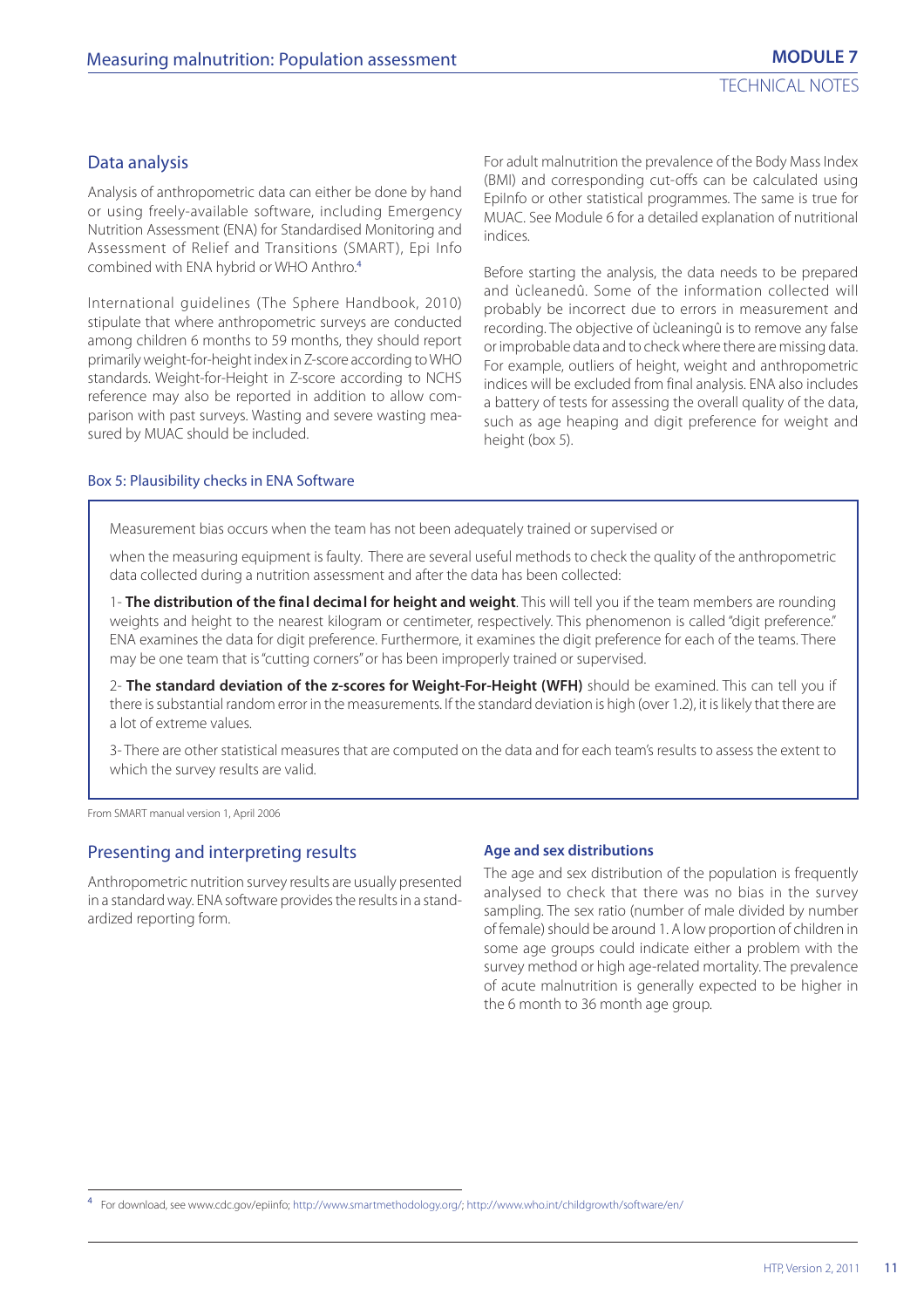#### Data analysis

Analysis of anthropometric data can either be done by hand or using freely-available software, including Emergency Nutrition Assessment (ENA) for Standardised Monitoring and Assessment of Relief and Transitions (SMART), Epi Info combined with ENA hybrid or WHO Anthro.<sup>4</sup>

International guidelines (The Sphere Handbook, 2010) stipulate that where anthropometric surveys are conducted among children 6 months to 59 months, they should report primarily weight-for-height index in Z-score according to WHO standards. Weight-for-Height in Z-score according to NCHS reference may also be reported in addition to allow comparison with past surveys. Wasting and severe wasting measured by MUAC should be included.

For adult malnutrition the prevalence of the Body Mass Index (BMI) and corresponding cut-offs can be calculated using EpiInfo or other statistical programmes. The same is true for MUAC. See Module 6 for a detailed explanation of nutritional indices.

Before starting the analysis, the data needs to be prepared and ùcleanedû. Some of the information collected will probably be incorrect due to errors in measurement and recording. The objective of ùcleaningû is to remove any false or improbable data and to check where there are missing data. For example, outliers of height, weight and anthropometric indices will be excluded from final analysis. ENA also includes a battery of tests for assessing the overall quality of the data, such as age heaping and digit preference for weight and height (box 5).

#### Box 5: Plausibility checks in ENA Software

Measurement bias occurs when the team has not been adequately trained or supervised or

when the measuring equipment is faulty. There are several useful methods to check the quality of the anthropometric data collected during a nutrition assessment and after the data has been collected:

1- **The distribution of the final decimal for height and weight**. This will tell you if the team members are rounding weights and height to the nearest kilogram or centimeter, respectively. This phenomenon is called "digit preference." ENA examines the data for digit preference. Furthermore, it examines the digit preference for each of the teams. There may be one team that is "cutting corners" or has been improperly trained or supervised.

2- **The standard deviation of the z-scores for Weight-For-Height (WFH)** should be examined. This can tell you if there is substantial random error in the measurements. If the standard deviation is high (over 1.2), it is likely that there are a lot of extreme values.

3- There are other statistical measures that are computed on the data and for each team's results to assess the extent to which the survey results are valid.

From SMART manual version 1, April 2006

#### Presenting and interpreting results

Anthropometric nutrition survey results are usually presented in a standard way. ENA software provides the results in a standardized reporting form.

#### **Age and sex distributions**

The age and sex distribution of the population is frequently analysed to check that there was no bias in the survey sampling. The sex ratio (number of male divided by number of female) should be around 1. A low proportion of children in some age groups could indicate either a problem with the survey method or high age-related mortality. The prevalence of acute malnutrition is generally expected to be higher in the 6 month to 36 month age group.

<sup>4</sup> For download, see www.cdc.gov/epiinfo; http://www.smartmethodology.org/; http://www.who.int/childgrowth/software/en/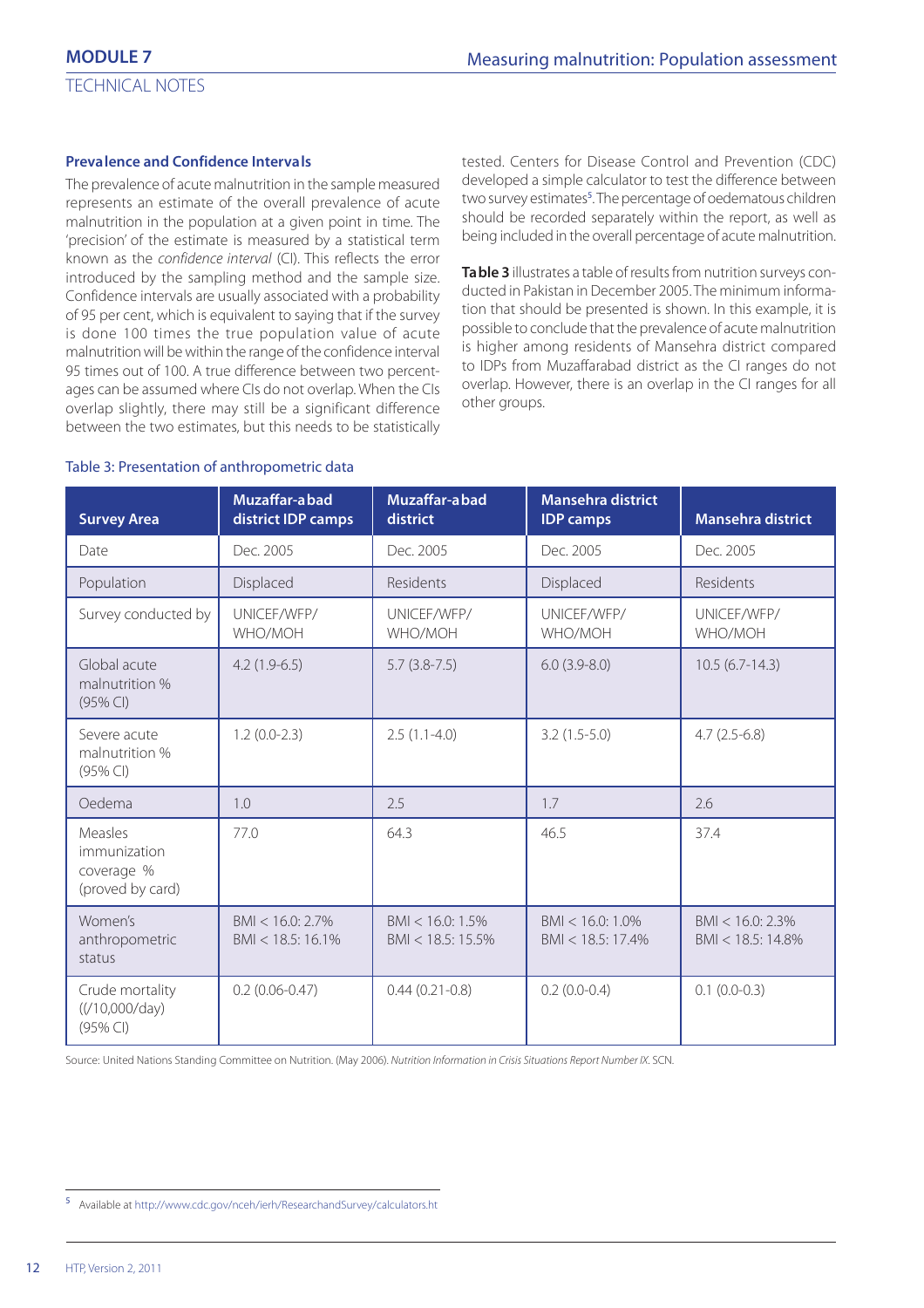#### **Prevalence and Confidence Intervals**

The prevalence of acute malnutrition in the sample measured represents an estimate of the overall prevalence of acute malnutrition in the population at a given point in time. The 'precision' of the estimate is measured by a statistical term known as the confidence interval (CI). This reflects the error introduced by the sampling method and the sample size. Confidence intervals are usually associated with a probability of 95 per cent, which is equivalent to saying that if the survey is done 100 times the true population value of acute malnutrition will be within the range of the confidence interval 95 times out of 100. A true difference between two percentages can be assumed where CIs do not overlap. When the CIs overlap slightly, there may still be a significant difference between the two estimates, but this needs to be statistically tested. Centers for Disease Control and Prevention (CDC) developed a simple calculator to test the difference between two survey estimates<sup>5</sup>. The percentage of oedematous children should be recorded separately within the report, as well as being included in the overall percentage of acute malnutrition.

**Table 3** illustrates a table of results from nutrition surveys conducted in Pakistan in December 2005. The minimum information that should be presented is shown. In this example, it is possible to conclude that the prevalence of acute malnutrition is higher among residents of Mansehra district compared to IDPs from Muzaffarabad district as the CI ranges do not overlap. However, there is an overlap in the CI ranges for all other groups.

| <b>Survey Area</b>                                        | Muzaffar-abad<br>district IDP camps         | Muzaffar-abad<br>district                   | <b>Mansehra district</b><br><b>IDP</b> camps | <b>Mansehra district</b>                |
|-----------------------------------------------------------|---------------------------------------------|---------------------------------------------|----------------------------------------------|-----------------------------------------|
| Date                                                      | Dec. 2005                                   | Dec. 2005                                   | Dec. 2005                                    | Dec. 2005                               |
| Population                                                | Displaced                                   | Residents                                   | Displaced                                    | <b>Residents</b>                        |
| Survey conducted by                                       | UNICEF/WFP/<br>WHO/MOH                      | UNICEF/WFP/<br>WHO/MOH                      | UNICEF/WFP/<br>WHO/MOH                       | UNICEF/WFP/<br>WHO/MOH                  |
| Global acute<br>malnutrition %<br>(95% CI)                | $4.2(1.9-6.5)$                              | $5.7(3.8-7.5)$                              | $6.0(3.9-8.0)$                               | $10.5(6.7-14.3)$                        |
| Severe acute<br>malnutrition %<br>$(95%$ CI)              | $1.2(0.0-2.3)$                              | $2.5(1.1-4.0)$                              | $3.2(1.5-5.0)$                               | $4.7(2.5-6.8)$                          |
| Oedema                                                    | 1.0                                         | 2.5                                         | 1.7                                          | 2.6                                     |
| Measles<br>immunization<br>coverage %<br>(proved by card) | 77.0                                        | 64.3                                        | 46.5                                         | 37.4                                    |
| Women's<br>anthropometric<br>status                       | $BMI < 16.0: 2.7\%$<br>$BMI < 18.5: 16.1\%$ | $BMI < 16.0: 1.5\%$<br>$BMI < 18.5: 15.5\%$ | $BMI < 16.0: 1.0\%$<br>$BMI < 18.5: 17.4\%$  | $BM < 16.0: 2.3\%$<br>BMI < 18.5: 14.8% |
| Crude mortality<br>$((/10,000/\text{day})$<br>(95% CI)    | $0.2(0.06 - 0.47)$                          | $0.44(0.21-0.8)$                            | $0.2(0.0-0.4)$                               | $0.1(0.0-0.3)$                          |

#### Table 3: Presentation of anthropometric data

Source: United Nations Standing Committee on Nutrition. (May 2006). Nutrition Information in Crisis Situations Report Number IX. SCN.

<sup>5</sup> Available at http://www.cdc.gov/nceh/ierh/ResearchandSurvey/calculators.ht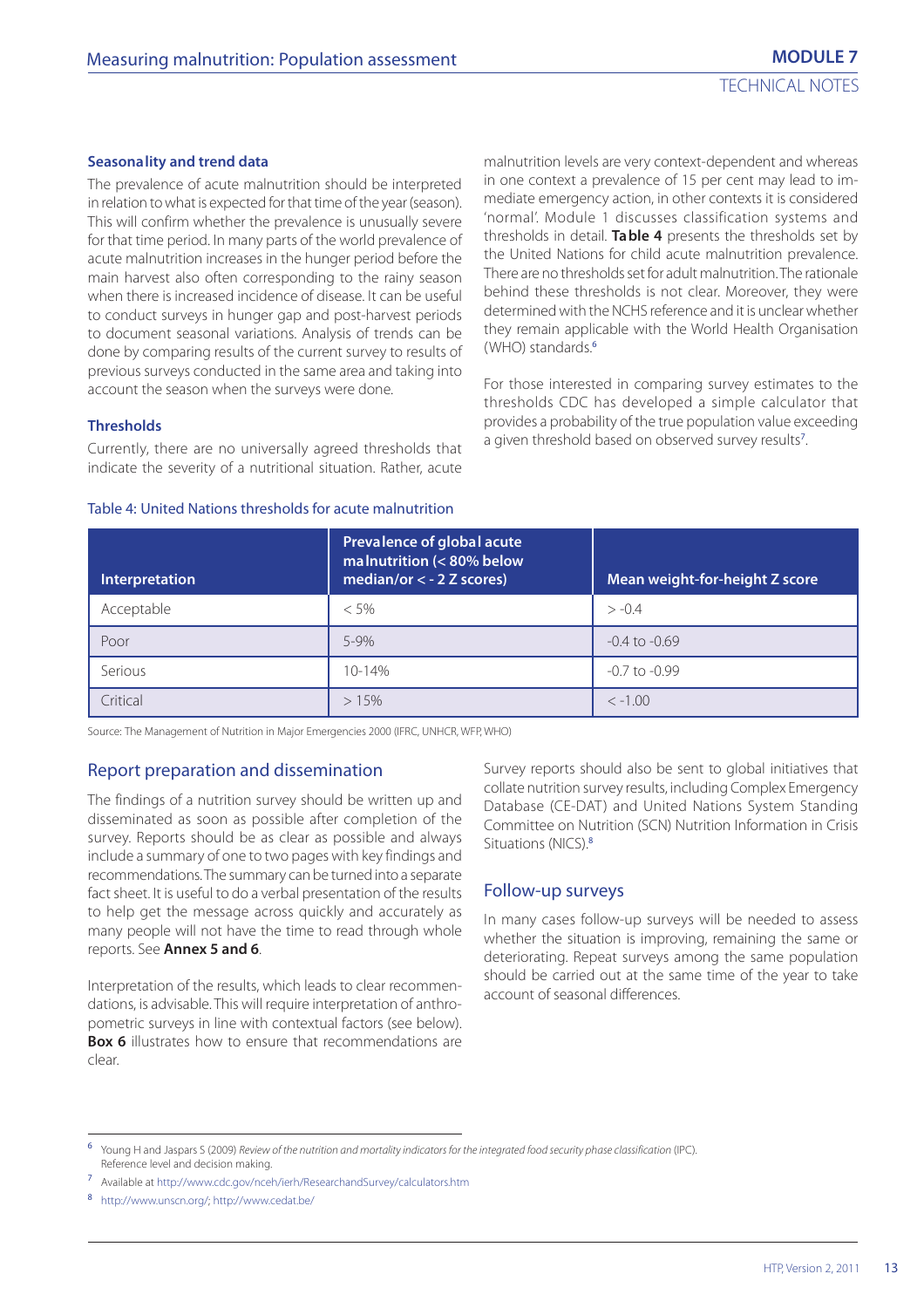#### **Seasonality and trend data**

The prevalence of acute malnutrition should be interpreted in relation to what is expected for that time of the year (season). This will confirm whether the prevalence is unusually severe for that time period. In many parts of the world prevalence of acute malnutrition increases in the hunger period before the main harvest also often corresponding to the rainy season when there is increased incidence of disease. It can be useful to conduct surveys in hunger gap and post-harvest periods to document seasonal variations. Analysis of trends can be done by comparing results of the current survey to results of previous surveys conducted in the same area and taking into account the season when the surveys were done.

malnutrition levels are very context-dependent and whereas in one context a prevalence of 15 per cent may lead to immediate emergency action, in other contexts it is considered 'normal'. Module 1 discusses classification systems and thresholds in detail. **Table 4** presents the thresholds set by the United Nations for child acute malnutrition prevalence. There are no thresholds set for adult malnutrition. The rationale behind these thresholds is not clear. Moreover, they were determined with the NCHS reference and it is unclear whether they remain applicable with the World Health Organisation (WHO) standards.<sup>6</sup>

For those interested in comparing survey estimates to the thresholds CDC has developed a simple calculator that provides a probability of the true population value exceeding a given threshold based on observed survey results<sup>7</sup>. .

#### **Thresholds**

Currently, there are no universally agreed thresholds that indicate the severity of a nutritional situation. Rather, acute

#### Table 4: United Nations thresholds for acute malnutrition

| Interpretation | Prevalence of global acute<br>malnutrition (< 80% below<br>median/or $<$ - 2 Z scores) | Mean weight-for-height Z score |
|----------------|----------------------------------------------------------------------------------------|--------------------------------|
| Acceptable     | $< 5\%$                                                                                | $> -0.4$                       |
| Poor           | $5 - 9%$                                                                               | $-0.4$ to $-0.69$              |
| Serious        | $10 - 14%$                                                                             | $-0.7$ to $-0.99$              |
| Critical       | >15%                                                                                   | $<-1.00$                       |

Source: The Management of Nutrition in Major Emergencies 2000 (IFRC, UNHCR, WFP, WHO)

#### Report preparation and dissemination

The findings of a nutrition survey should be written up and disseminated as soon as possible after completion of the survey. Reports should be as clear as possible and always include a summary of one to two pages with key findings and recommendations. The summary can be turned into a separate fact sheet. It is useful to do a verbal presentation of the results to help get the message across quickly and accurately as many people will not have the time to read through whole reports. See **Annex 5 and 6**.

Interpretation of the results, which leads to clear recommendations, is advisable. This will require interpretation of anthropometric surveys in line with contextual factors (see below). **Box 6** illustrates how to ensure that recommendations are clear.

Survey reports should also be sent to global initiatives that collate nutrition survey results, including Complex Emergency Database (CE-DAT) and United Nations System Standing Committee on Nutrition (SCN) Nutrition Information in Crisis Situations (NICS).<sup>8</sup>

#### Follow-up surveys

In many cases follow-up surveys will be needed to assess whether the situation is improving, remaining the same or deteriorating. Repeat surveys among the same population should be carried out at the same time of the year to take account of seasonal differences.

<sup>6</sup> Young H and Jaspars S (2009) Review of the nutrition and mortality indicators for the integrated food security phase classification (IPC). Reference level and decision making.

<sup>7</sup> Available at http://www.cdc.gov/nceh/ierh/ResearchandSurvey/calculators.htm

<sup>8</sup> http://www.unscn.org/; http://www.cedat.be/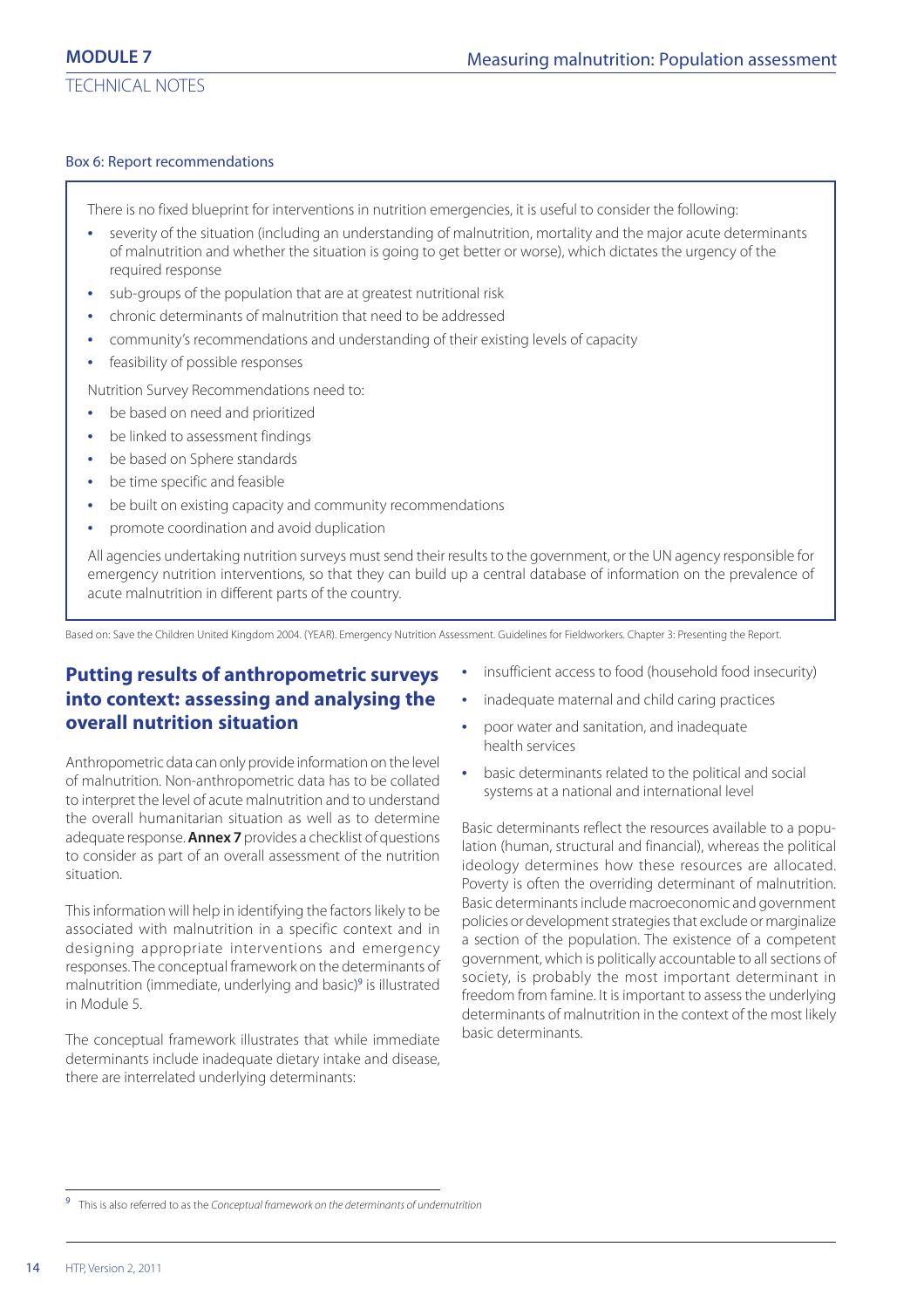#### Box 6: Report recommendations

There is no fixed blueprint for interventions in nutrition emergencies, it is useful to consider the following:

- **•** severity of the situation (including an understanding of malnutrition, mortality and the major acute determinants of malnutrition and whether the situation is going to get better or worse), which dictates the urgency of the required response
- **•** sub-groups of the population that are at greatest nutritional risk
- **•** chronic determinants of malnutrition that need to be addressed
- **•** community's recommendations and understanding of their existing levels of capacity
- **•** feasibility of possible responses

Nutrition Survey Recommendations need to:

- **•** be based on need and prioritized
- **•** be linked to assessment findings
- **•** be based on Sphere standards
- **•** be time specific and feasible
- **•** be built on existing capacity and community recommendations
- **•** promote coordination and avoid duplication

All agencies undertaking nutrition surveys must send their results to the government, or the UN agency responsible for emergency nutrition interventions, so that they can build up a central database of information on the prevalence of acute malnutrition in different parts of the country.

Based on: Save the Children United Kingdom 2004. (YEAR). Emergency Nutrition Assessment. Guidelines for Fieldworkers. Chapter 3: Presenting the Report.

# **Putting results of anthropometric surveys into context: assessing and analysing the overall nutrition situation**

Anthropometric data can only provide information on the level of malnutrition. Non-anthropometric data has to be collated to interpret the level of acute malnutrition and to understand the overall humanitarian situation as well as to determine adequate response. **Annex 7** provides a checklist of questions to consider as part of an overall assessment of the nutrition situation.

This information will help in identifying the factors likely to be associated with malnutrition in a specific context and in designing appropriate interventions and emergency responses. The conceptual framework on the determinants of malnutrition (immediate, underlying and basic)<sup>9</sup> is illustrated in Module 5.

The conceptual framework illustrates that while immediate determinants include inadequate dietary intake and disease, there are interrelated underlying determinants:

- **•** insufficient access to food (household food insecurity)
- **•** inadequate maternal and child caring practices
- **•** poor water and sanitation, and inadequate health services
- **•** basic determinants related to the political and social systems at a national and international level

Basic determinants reflect the resources available to a population (human, structural and financial), whereas the political ideology determines how these resources are allocated. Poverty is often the overriding determinant of malnutrition. Basic determinants include macroeconomic and government policies or development strategies that exclude or marginalize a section of the population. The existence of a competent government, which is politically accountable to all sections of society, is probably the most important determinant in freedom from famine. It is important to assess the underlying determinants of malnutrition in the context of the most likely basic determinants.

<sup>&</sup>lt;sup>9</sup> This is also referred to as the Conceptual framework on the determinants of undernutrition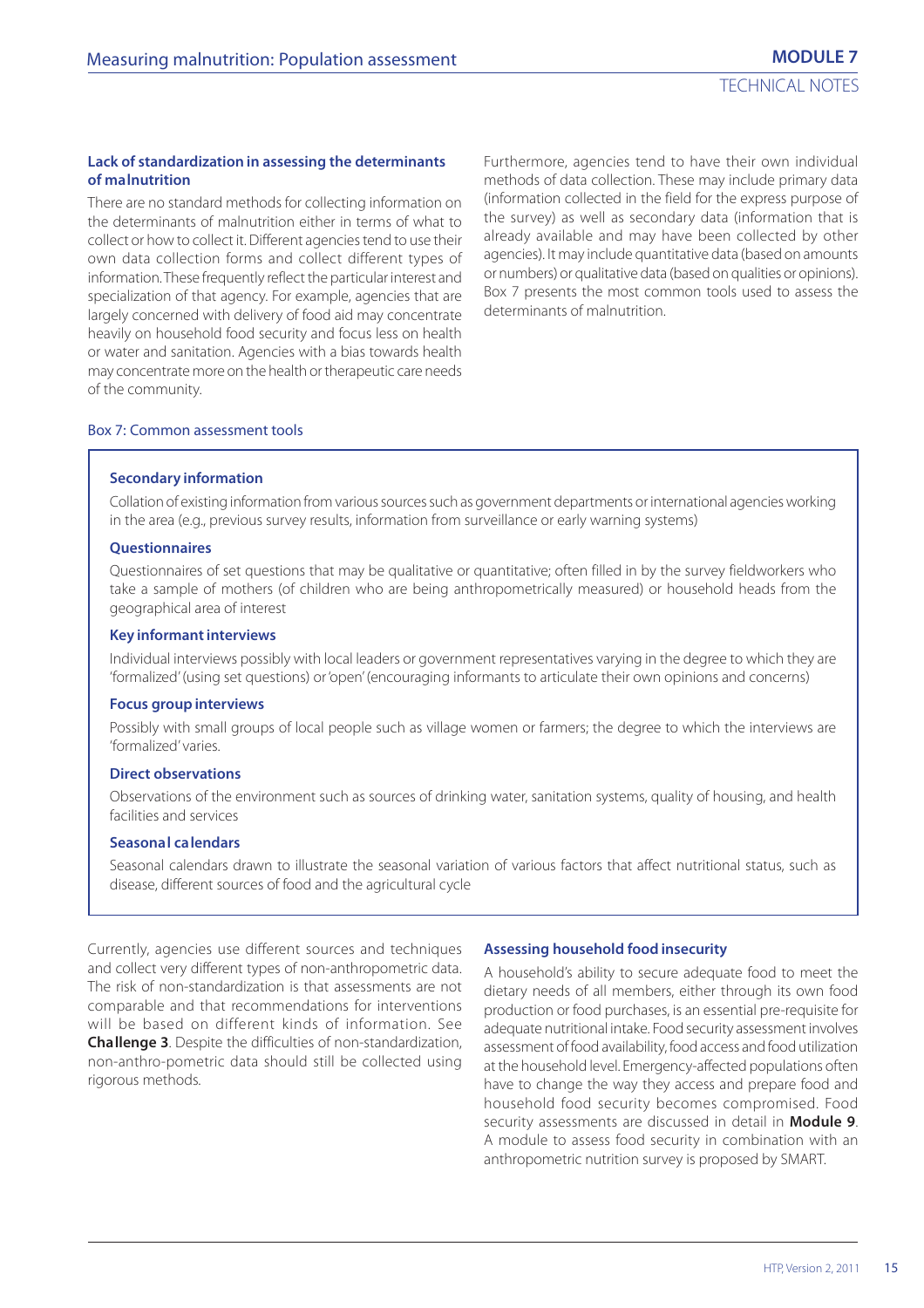#### **Lack of standardization in assessing the determinants of malnutrition**

There are no standard methods for collecting information on the determinants of malnutrition either in terms of what to collect or how to collect it. Different agencies tend to use their own data collection forms and collect different types of information. These frequently reflect the particular interest and specialization of that agency. For example, agencies that are largely concerned with delivery of food aid may concentrate heavily on household food security and focus less on health or water and sanitation. Agencies with a bias towards health may concentrate more on the health or therapeutic care needs of the community.

Furthermore, agencies tend to have their own individual methods of data collection. These may include primary data (information collected in the field for the express purpose of the survey) as well as secondary data (information that is already available and may have been collected by other agencies). It may include quantitative data (based on amounts or numbers) or qualitative data (based on qualities or opinions). Box 7 presents the most common tools used to assess the determinants of malnutrition.

#### Box 7: Common assessment tools

#### **Secondary information**

Collation of existing information from various sources such as government departments or international agencies working in the area (e.g., previous survey results, information from surveillance or early warning systems)

#### **Questionnaires**

Questionnaires of set questions that may be qualitative or quantitative; often filled in by the survey fieldworkers who take a sample of mothers (of children who are being anthropometrically measured) or household heads from the geographical area of interest

#### **Key informant interviews**

Individual interviews possibly with local leaders or government representatives varying in the degree to which they are 'formalized' (using set questions) or 'open' (encouraging informants to articulate their own opinions and concerns)

#### **Focus group interviews**

Possibly with small groups of local people such as village women or farmers; the degree to which the interviews are 'formalized' varies.

#### **Direct observations**

Observations of the environment such as sources of drinking water, sanitation systems, quality of housing, and health facilities and services

#### **Seasonal calendars**

Seasonal calendars drawn to illustrate the seasonal variation of various factors that affect nutritional status, such as disease, different sources of food and the agricultural cycle

Currently, agencies use different sources and techniques and collect very different types of non-anthropometric data. The risk of non-standardization is that assessments are not comparable and that recommendations for interventions will be based on different kinds of information. See **Challenge 3**. Despite the difficulties of non-standardization, non-anthro-pometric data should still be collected using rigorous methods.

#### **Assessing household food insecurity**

A household's ability to secure adequate food to meet the dietary needs of all members, either through its own food production or food purchases, is an essential pre-requisite for adequate nutritional intake. Food security assessment involves assessment of food availability, food access and food utilization at the household level. Emergency-affected populations often have to change the way they access and prepare food and household food security becomes compromised. Food security assessments are discussed in detail in **Module 9**. A module to assess food security in combination with an anthropometric nutrition survey is proposed by SMART.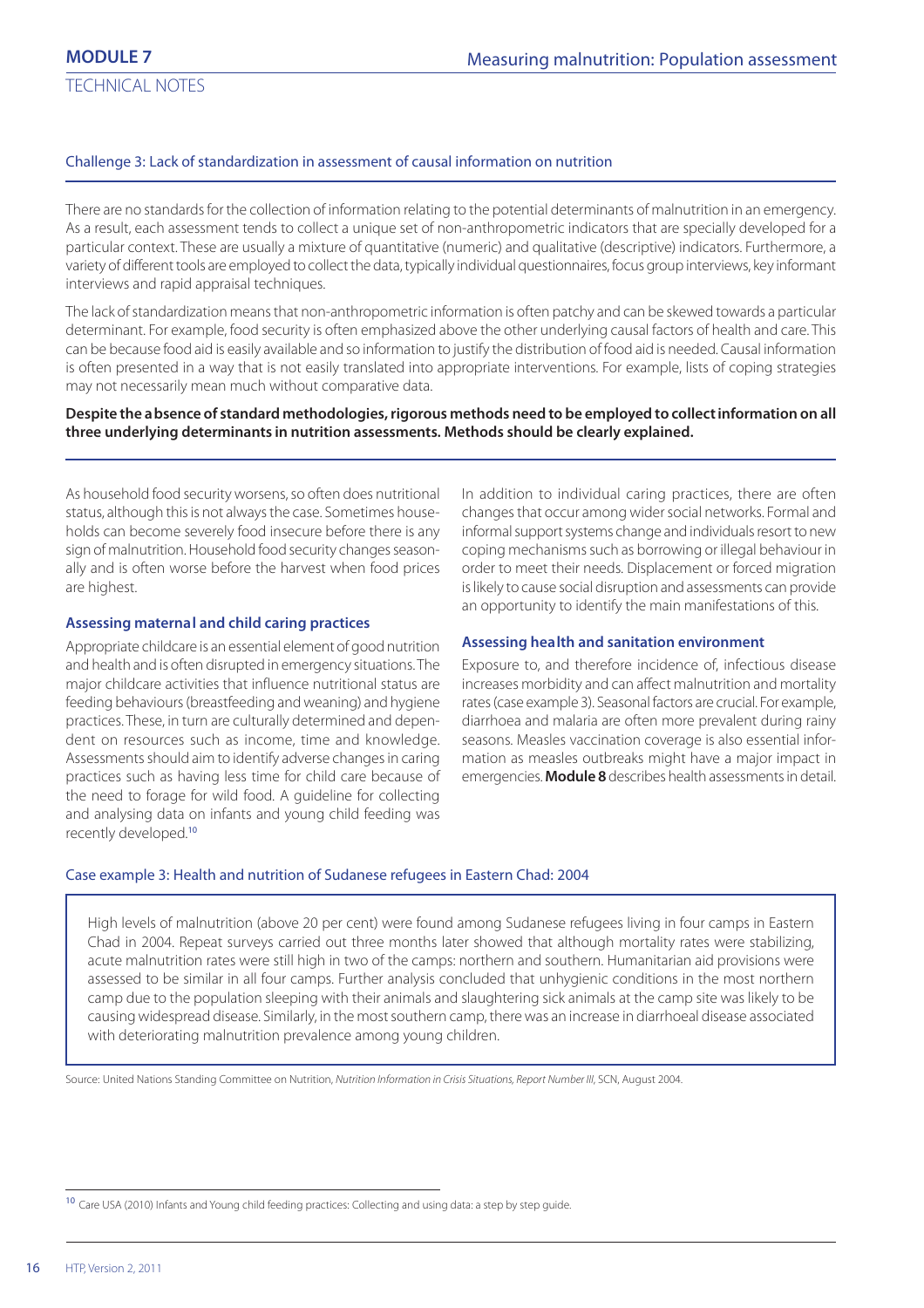#### Challenge 3: Lack of standardization in assessment of causal information on nutrition

There are no standards for the collection of information relating to the potential determinants of malnutrition in an emergency. As a result, each assessment tends to collect a unique set of non-anthropometric indicators that are specially developed for a particular context. These are usually a mixture of quantitative (numeric) and qualitative (descriptive) indicators. Furthermore, a variety of different tools are employed to collect the data, typically individual questionnaires, focus group interviews, key informant interviews and rapid appraisal techniques.

The lack of standardization means that non-anthropometric information is often patchy and can be skewed towards a particular determinant. For example, food security is often emphasized above the other underlying causal factors of health and care. This can be because food aid is easily available and so information to justify the distribution of food aid is needed. Causal information is often presented in a way that is not easily translated into appropriate interventions. For example, lists of coping strategies may not necessarily mean much without comparative data.

#### **Despite the absence of standard methodologies, rigorous methods need to be employed to collect information on all three underlying determinants in nutrition assessments. Methods should be clearly explained.**

As household food security worsens, so often does nutritional status, although this is not always the case. Sometimes households can become severely food insecure before there is any sign of malnutrition. Household food security changes seasonally and is often worse before the harvest when food prices are highest.

#### **Assessing maternal and child caring practices**

Appropriate childcare is an essential element of good nutrition and health and is often disrupted in emergency situations. The major childcare activities that influence nutritional status are feeding behaviours (breastfeeding and weaning) and hygiene practices. These, in turn are culturally determined and dependent on resources such as income, time and knowledge. Assessments should aim to identify adverse changes in caring practices such as having less time for child care because of the need to forage for wild food. A guideline for collecting and analysing data on infants and young child feeding was recently developed.<sup>10</sup>

In addition to individual caring practices, there are often changes that occur among wider social networks. Formal and informal support systems change and individuals resort to new coping mechanisms such as borrowing or illegal behaviour in order to meet their needs. Displacement or forced migration is likely to cause social disruption and assessments can provide an opportunity to identify the main manifestations of this.

#### **Assessing health and sanitation environment**

Exposure to, and therefore incidence of, infectious disease increases morbidity and can affect malnutrition and mortality rates (case example 3). Seasonal factors are crucial. For example, diarrhoea and malaria are often more prevalent during rainy seasons. Measles vaccination coverage is also essential information as measles outbreaks might have a major impact in emergencies. **Module 8** describes health assessments in detail.

#### Case example 3: Health and nutrition of Sudanese refugees in Eastern Chad: 2004

High levels of malnutrition (above 20 per cent) were found among Sudanese refugees living in four camps in Eastern Chad in 2004. Repeat surveys carried out three months later showed that although mortality rates were stabilizing, acute malnutrition rates were still high in two of the camps: northern and southern. Humanitarian aid provisions were assessed to be similar in all four camps. Further analysis concluded that unhygienic conditions in the most northern camp due to the population sleeping with their animals and slaughtering sick animals at the camp site was likely to be causing widespread disease. Similarly, in the most southern camp, there was an increase in diarrhoeal disease associated with deteriorating malnutrition prevalence among young children.

Source: United Nations Standing Committee on Nutrition, Nutrition Information in Crisis Situations, Report Number III, SCN, August 2004.

<sup>&</sup>lt;sup>10</sup> Care USA (2010) Infants and Young child feeding practices: Collecting and using data: a step by step guide.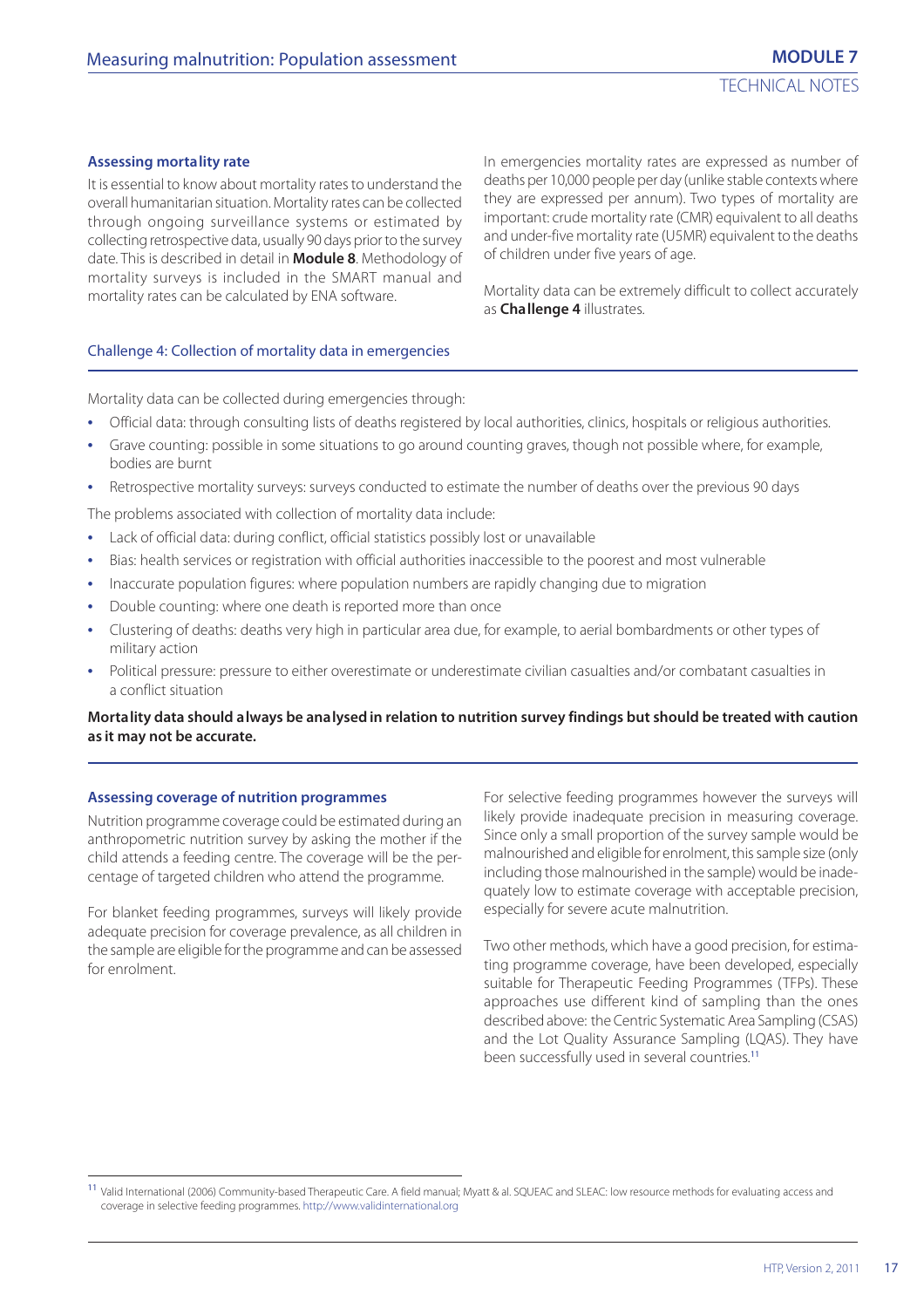#### **Assessing mortality rate**

It is essential to know about mortality rates to understand the overall humanitarian situation. Mortality rates can be collected through ongoing surveillance systems or estimated by collecting retrospective data, usually 90 days prior to the survey date. This is described in detail in **Module 8**. Methodology of mortality surveys is included in the SMART manual and mortality rates can be calculated by ENA software.

In emergencies mortality rates are expressed as number of deaths per 10,000 people per day (unlike stable contexts where they are expressed per annum). Two types of mortality are important: crude mortality rate (CMR) equivalent to all deaths and under-five mortality rate (U5MR) equivalent to the deaths of children under five years of age.

Mortality data can be extremely difficult to collect accurately as **Challenge 4** illustrates.

#### Challenge 4: Collection of mortality data in emergencies

Mortality data can be collected during emergencies through:

- **•** Official data: through consulting lists of deaths registered by local authorities, clinics, hospitals or religious authorities.
- **•** Grave counting: possible in some situations to go around counting graves, though not possible where, for example, bodies are burnt
- **•** Retrospective mortality surveys: surveys conducted to estimate the number of deaths over the previous 90 days

The problems associated with collection of mortality data include:

- **•** Lack of official data: during conflict, official statistics possibly lost or unavailable
- **•** Bias: health services or registration with official authorities inaccessible to the poorest and most vulnerable
- **•** Inaccurate population figures: where population numbers are rapidly changing due to migration
- **•** Double counting: where one death is reported more than once
- **•** Clustering of deaths: deaths very high in particular area due, for example, to aerial bombardments or other types of military action
- **•** Political pressure: pressure to either overestimate or underestimate civilian casualties and/or combatant casualties in a conflict situation

#### **Mortality data should always be analysed in relation to nutrition survey findings but should be treated with caution as it may not be accurate.**

#### **Assessing coverage of nutrition programmes**

Nutrition programme coverage could be estimated during an anthropometric nutrition survey by asking the mother if the child attends a feeding centre. The coverage will be the percentage of targeted children who attend the programme.

For blanket feeding programmes, surveys will likely provide adequate precision for coverage prevalence, as all children in the sample are eligible for the programme and can be assessed for enrolment.

For selective feeding programmes however the surveys will likely provide inadequate precision in measuring coverage. Since only a small proportion of the survey sample would be malnourished and eligible for enrolment, this sample size (only including those malnourished in the sample) would be inadequately low to estimate coverage with acceptable precision, especially for severe acute malnutrition.

Two other methods, which have a good precision, for estimating programme coverage, have been developed, especially suitable for Therapeutic Feeding Programmes (TFPs). These approaches use different kind of sampling than the ones described above: the Centric Systematic Area Sampling (CSAS) and the Lot Quality Assurance Sampling (LQAS). They have been successfully used in several countries.<sup>11</sup>

<sup>11</sup> Valid International (2006) Community-based Therapeutic Care. A field manual; Myatt & al. SQUEAC and SLEAC: low resource methods for evaluating access and coverage in selective feeding programmes. http://www.validinternational.org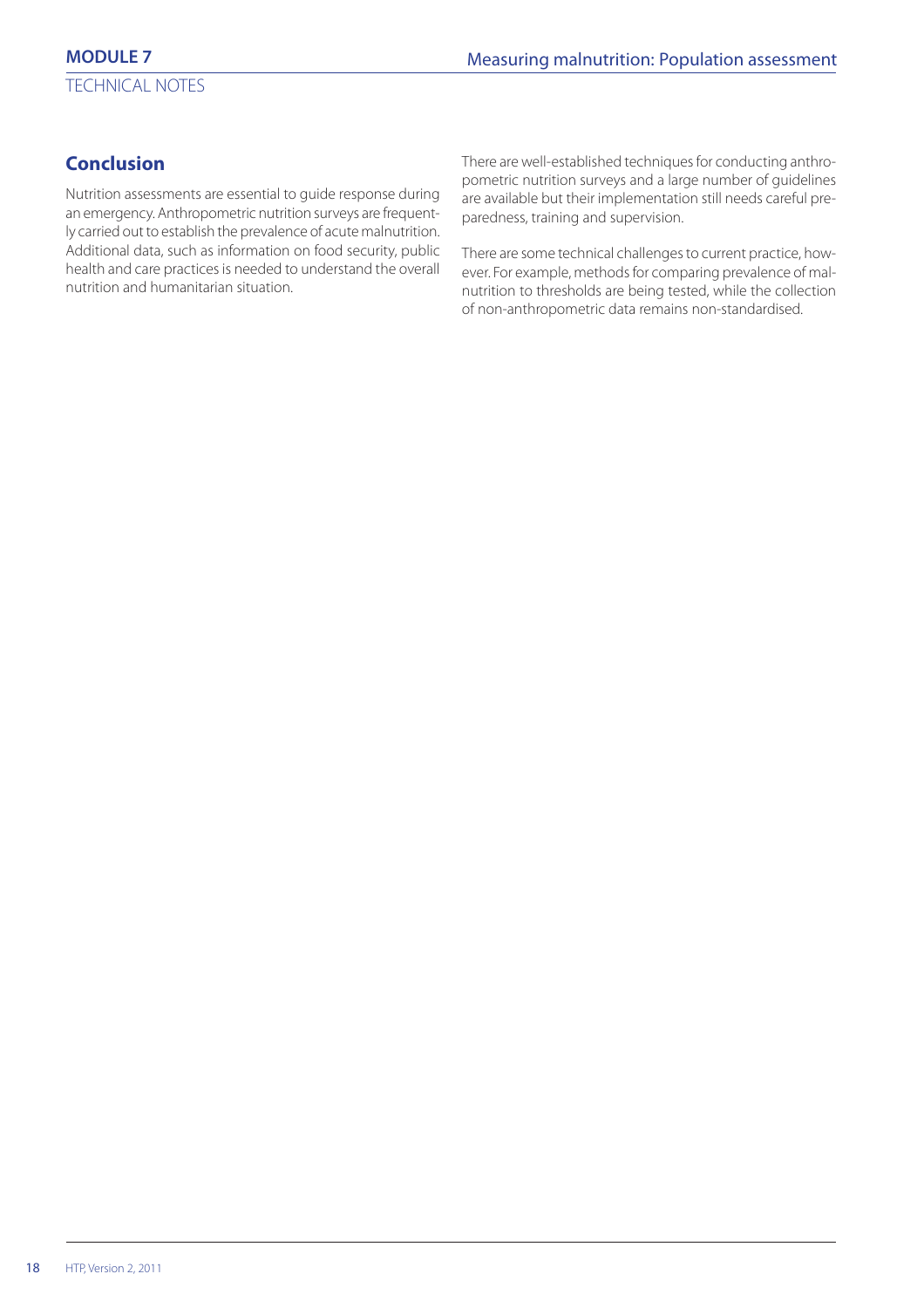# **Conclusion**

Nutrition assessments are essential to guide response during an emergency. Anthropometric nutrition surveys are frequently carried out to establish the prevalence of acute malnutrition. Additional data, such as information on food security, public health and care practices is needed to understand the overall nutrition and humanitarian situation.

There are well-established techniques for conducting anthropometric nutrition surveys and a large number of guidelines are available but their implementation still needs careful preparedness, training and supervision.

There are some technical challenges to current practice, however. For example, methods for comparing prevalence of malnutrition to thresholds are being tested, while the collection of non-anthropometric data remains non-standardised.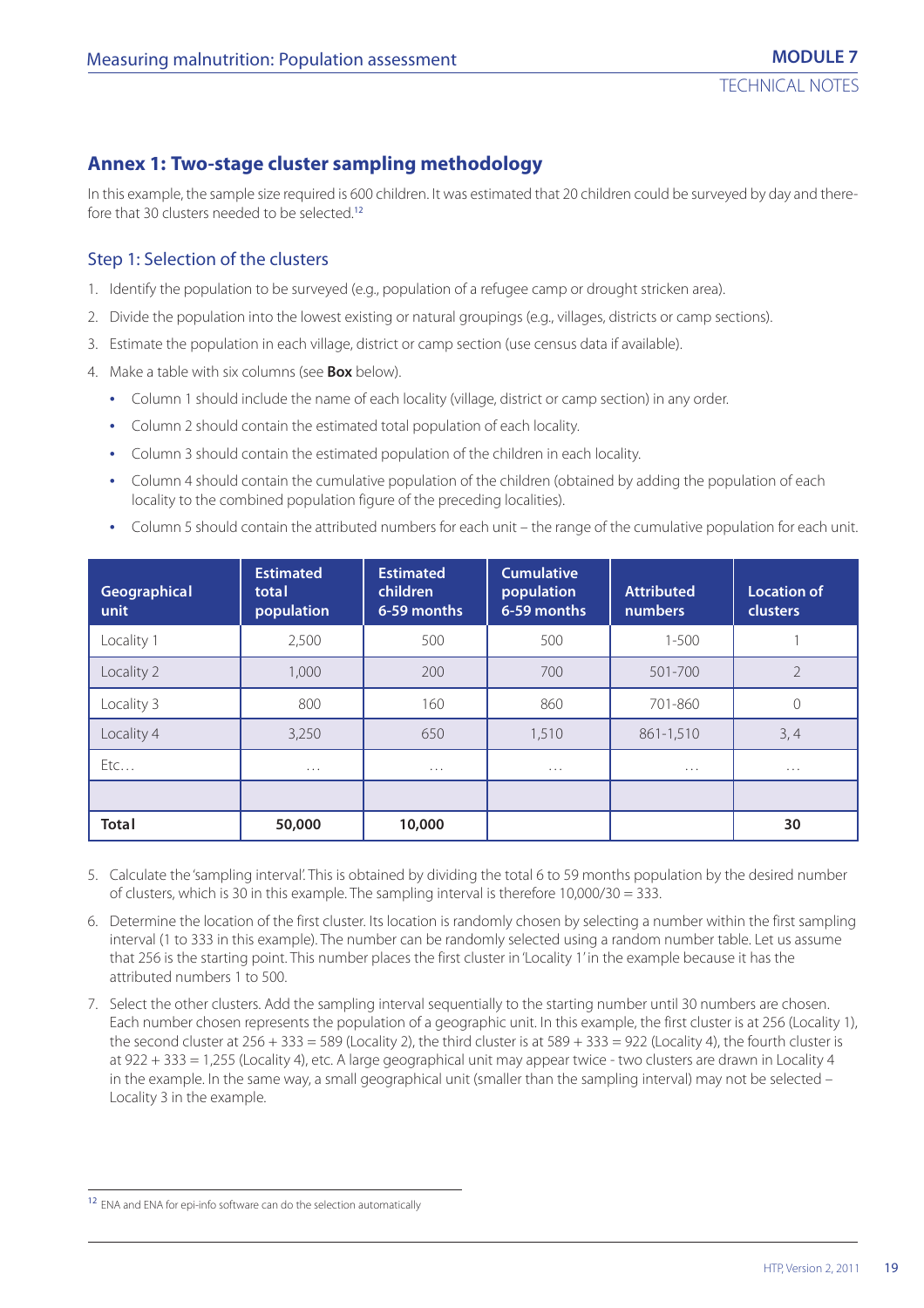# **Annex 1: Two-stage cluster sampling methodology**

In this example, the sample size required is 600 children. It was estimated that 20 children could be surveyed by day and therefore that 30 clusters needed to be selected.<sup>12</sup>

#### Step 1: Selection of the clusters

- 1. Identify the population to be surveyed (e.g., population of a refugee camp or drought stricken area).
- 2. Divide the population into the lowest existing or natural groupings (e.g., villages, districts or camp sections).
- 3. Estimate the population in each village, district or camp section (use census data if available).
- 4. Make a table with six columns (see **Box** below).
	- **•** Column 1 should include the name of each locality (village, district or camp section) in any order.
	- **•** Column 2 should contain the estimated total population of each locality.
	- **•** Column 3 should contain the estimated population of the children in each locality.
	- **•** Column 4 should contain the cumulative population of the children (obtained by adding the population of each locality to the combined population figure of the preceding localities).
	- **•** Column 5 should contain the attributed numbers for each unit the range of the cumulative population for each unit.

| Geographical<br>unit | <b>Estimated</b><br>total<br>population | <b>Estimated</b><br>children<br>6-59 months | <b>Cumulative</b><br>population<br>6-59 months | <b>Attributed</b><br>numbers | <b>Location of</b><br><b>clusters</b> |
|----------------------|-----------------------------------------|---------------------------------------------|------------------------------------------------|------------------------------|---------------------------------------|
| Locality 1           | 2,500                                   | 500                                         | 500                                            | $1 - 500$                    |                                       |
| Locality 2           | 1,000                                   | 200                                         | 700                                            | 501-700                      | $\overline{2}$                        |
| Locality 3           | 800                                     | 160                                         | 860                                            | 701-860                      | $\mathcal{O}$                         |
| Locality 4           | 3,250                                   | 650                                         | 1,510                                          | 861-1,510                    | 3, 4                                  |
| EtC                  | $\cdots$                                | $\cdots$                                    | $\cdots$                                       | .                            | $\cdots$                              |
|                      |                                         |                                             |                                                |                              |                                       |
| <b>Total</b>         | 50,000                                  | 10,000                                      |                                                |                              | 30                                    |

- 5. Calculate the 'sampling interval'. This is obtained by dividing the total 6 to 59 months population by the desired number of clusters, which is 30 in this example. The sampling interval is therefore  $10,000/30 = 333$ .
- 6. Determine the location of the first cluster. Its location is randomly chosen by selecting a number within the first sampling interval (1 to 333 in this example). The number can be randomly selected using a random number table. Let us assume that 256 is the starting point. This number places the first cluster in 'Locality 1' in the example because it has the attributed numbers 1 to 500.
- 7. Select the other clusters. Add the sampling interval sequentially to the starting number until 30 numbers are chosen. Each number chosen represents the population of a geographic unit. In this example, the first cluster is at 256 (Locality 1), the second cluster at  $256 + 333 = 589$  (Locality 2), the third cluster is at  $589 + 333 = 922$  (Locality 4), the fourth cluster is at 922 + 333 = 1,255 (Locality 4), etc. A large geographical unit may appear twice - two clusters are drawn in Locality 4 in the example. In the same way, a small geographical unit (smaller than the sampling interval) may not be selected – Locality 3 in the example.

<sup>&</sup>lt;sup>12</sup> ENA and ENA for epi-info software can do the selection automatically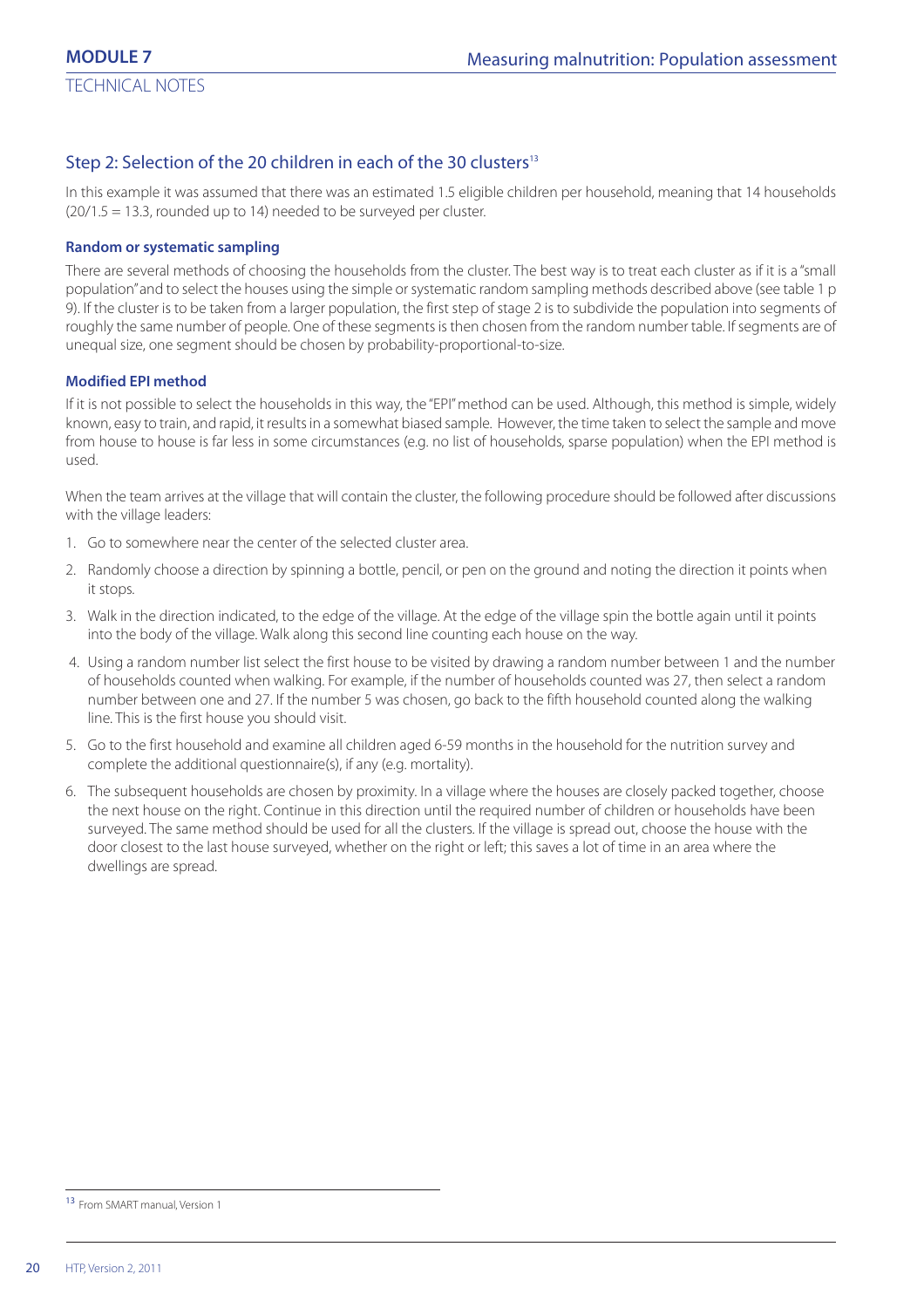## Step 2: Selection of the 20 children in each of the 30 clusters<sup>13</sup>

In this example it was assumed that there was an estimated 1.5 eligible children per household, meaning that 14 households (20/1.5 = 13.3, rounded up to 14) needed to be surveyed per cluster.

#### **Random or systematic sampling**

There are several methods of choosing the households from the cluster. The best way is to treat each cluster as if it is a "small population" and to select the houses using the simple or systematic random sampling methods described above (see table 1 p 9). If the cluster is to be taken from a larger population, the first step of stage 2 is to subdivide the population into segments of roughly the same number of people. One of these segments is then chosen from the random number table. If segments are of unequal size, one segment should be chosen by probability-proportional-to-size.

#### **Modified EPI method**

If it is not possible to select the households in this way, the "EPI" method can be used. Although, this method is simple, widely known, easy to train, and rapid, it results in a somewhat biased sample. However, the time taken to select the sample and move from house to house is far less in some circumstances (e.g. no list of households, sparse population) when the EPI method is used.

When the team arrives at the village that will contain the cluster, the following procedure should be followed after discussions with the village leaders:

- 1. Go to somewhere near the center of the selected cluster area.
- 2. Randomly choose a direction by spinning a bottle, pencil, or pen on the ground and noting the direction it points when it stops.
- 3. Walk in the direction indicated, to the edge of the village. At the edge of the village spin the bottle again until it points into the body of the village. Walk along this second line counting each house on the way.
- 4. Using a random number list select the first house to be visited by drawing a random number between 1 and the number of households counted when walking. For example, if the number of households counted was 27, then select a random number between one and 27. If the number 5 was chosen, go back to the fifth household counted along the walking line. This is the first house you should visit.
- 5. Go to the first household and examine all children aged 6-59 months in the household for the nutrition survey and complete the additional questionnaire(s), if any (e.g. mortality).
- 6. The subsequent households are chosen by proximity. In a village where the houses are closely packed together, choose the next house on the right. Continue in this direction until the required number of children or households have been surveyed. The same method should be used for all the clusters. If the village is spread out, choose the house with the door closest to the last house surveyed, whether on the right or left; this saves a lot of time in an area where the dwellings are spread.

<sup>13</sup> From SMART manual, Version 1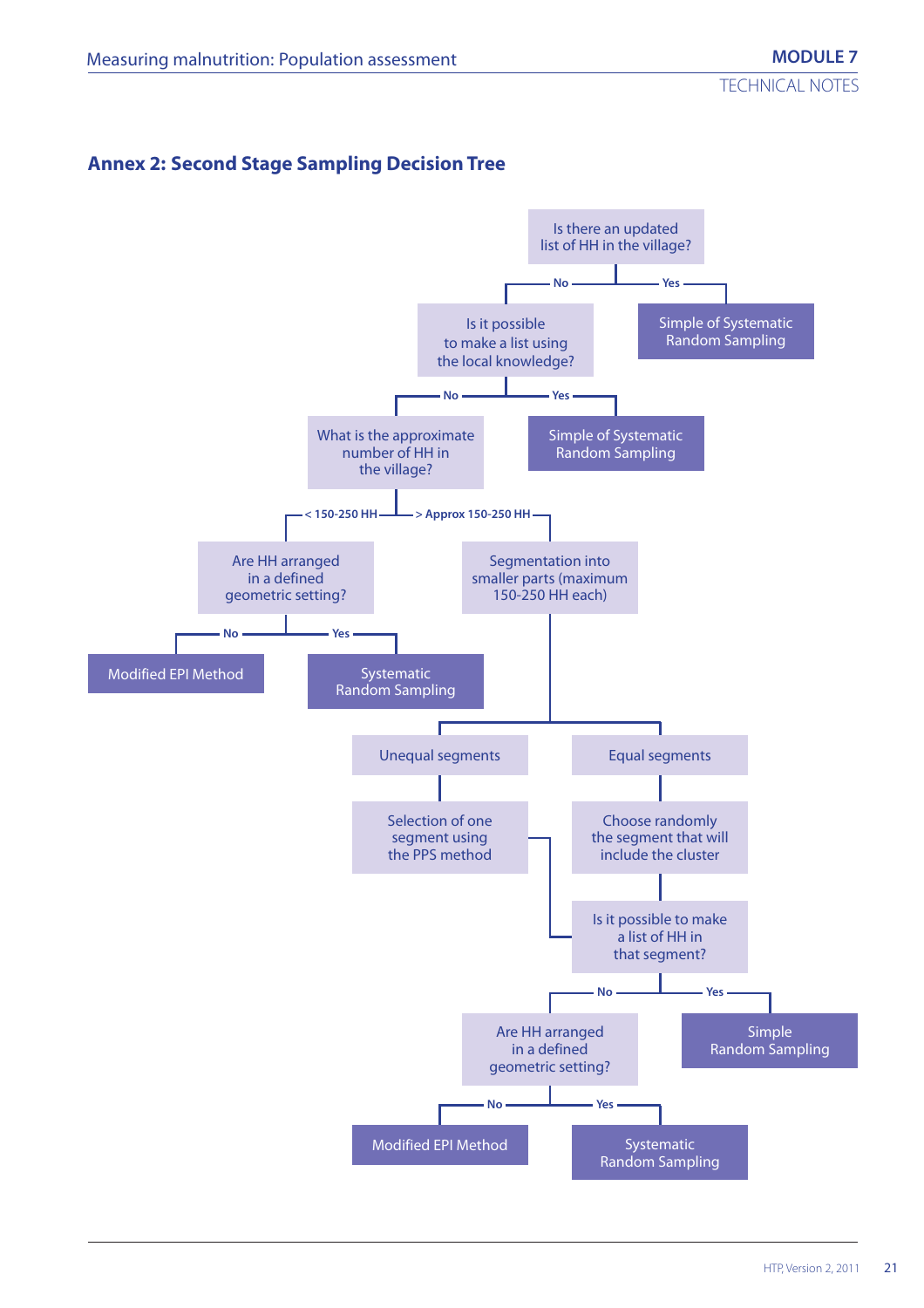# **Annex 2: Second Stage Sampling Decision Tree**

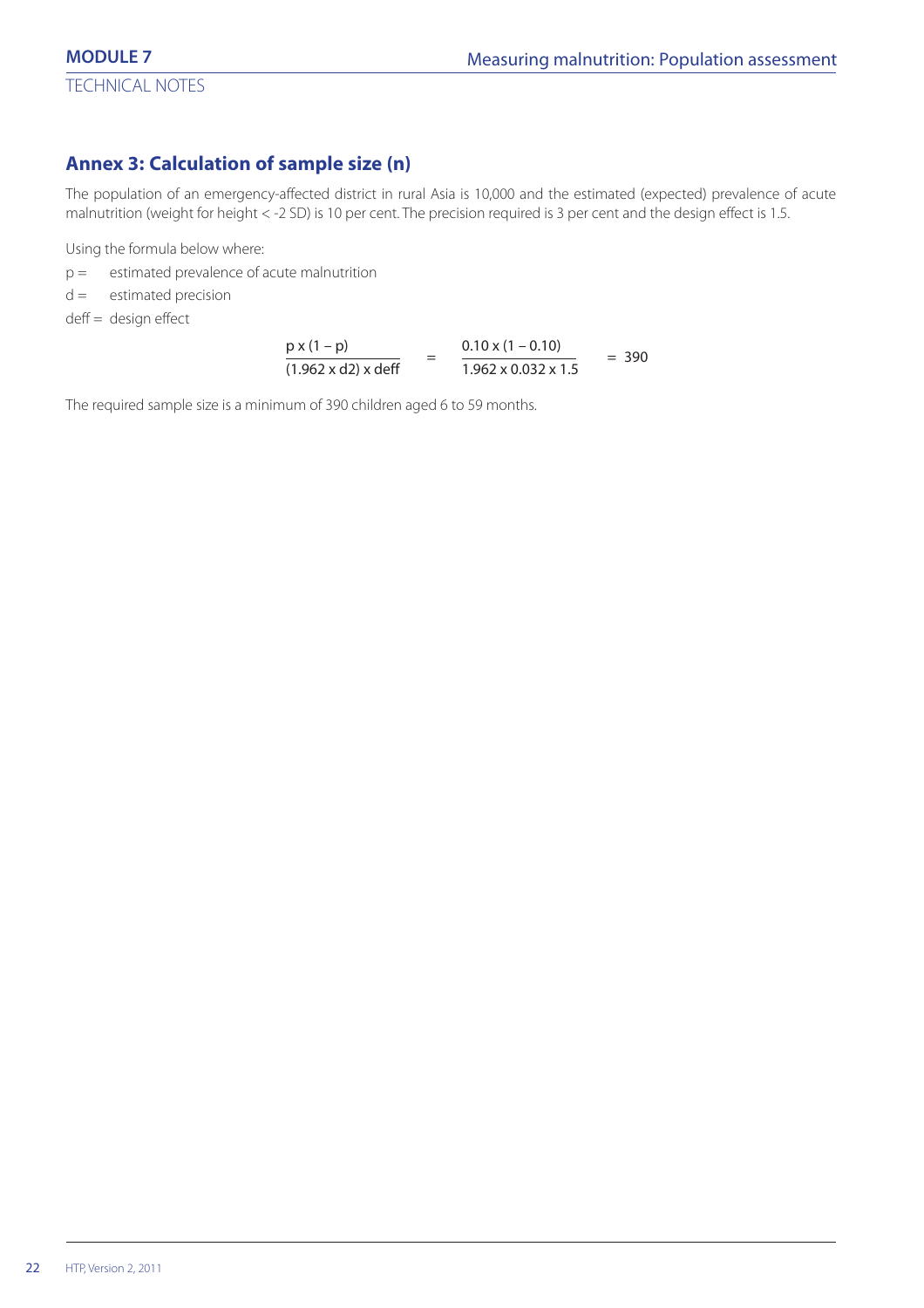# **Annex 3: Calculation of sample size (n)**

The population of an emergency-affected district in rural Asia is 10,000 and the estimated (expected) prevalence of acute malnutrition (weight for height < -2 SD) is 10 per cent. The precision required is 3 per cent and the design effect is 1.5.

Using the formula below where:

- $p =$  estimated prevalence of acute malnutrition
- $d =$  estimated precision
- deff = design effect

$$
\frac{p x (1-p)}{(1.962 \times d2) \times deff} = \frac{0.10 x (1-0.10)}{1.962 \times 0.032 \times 1.5} = 390
$$

The required sample size is a minimum of 390 children aged 6 to 59 months.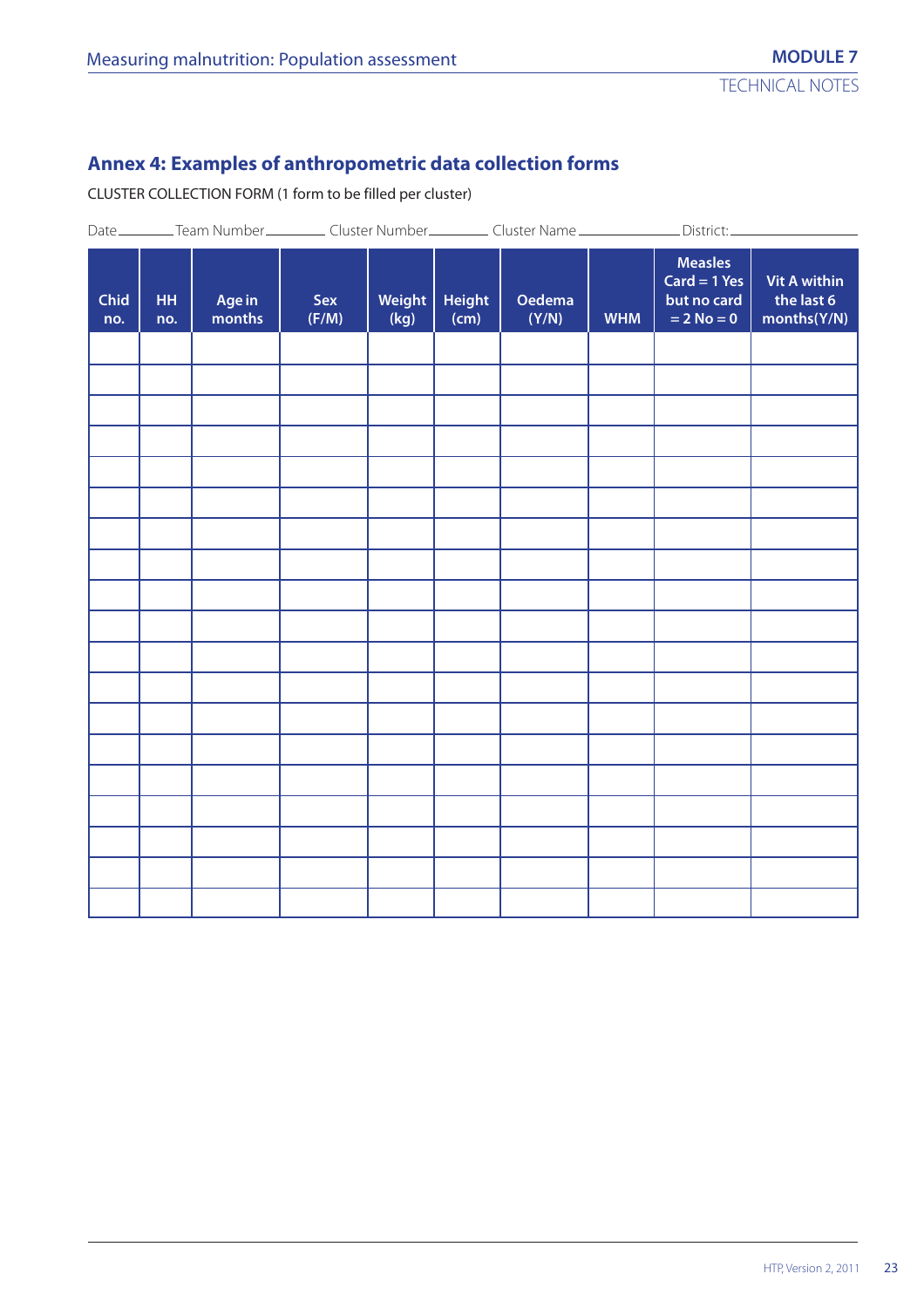# **Annex 4: Examples of anthropometric data collection forms**

CLUSTER COLLECTION FORM (1 form to be filled per cluster)

|             |                  |                  |              |                |                       |                        |            | Date ____________Team Number ______________Cluster Number ______________Cluster Name ________________District: _______ |                                                  |
|-------------|------------------|------------------|--------------|----------------|-----------------------|------------------------|------------|------------------------------------------------------------------------------------------------------------------------|--------------------------------------------------|
| Chid<br>no. | <b>HH</b><br>no. | Age in<br>months | Sex<br>(F/M) | Weight<br>(kg) | <b>Height</b><br>(cm) | <b>Oedema</b><br>(Y/N) | <b>WHM</b> | <b>Measles</b><br>$Card = 1 Yes$<br>but no card<br>$= 2$ No $= 0$                                                      | <b>Vit A within</b><br>the last 6<br>months(Y/N) |
|             |                  |                  |              |                |                       |                        |            |                                                                                                                        |                                                  |
|             |                  |                  |              |                |                       |                        |            |                                                                                                                        |                                                  |
|             |                  |                  |              |                |                       |                        |            |                                                                                                                        |                                                  |
|             |                  |                  |              |                |                       |                        |            |                                                                                                                        |                                                  |
|             |                  |                  |              |                |                       |                        |            |                                                                                                                        |                                                  |
|             |                  |                  |              |                |                       |                        |            |                                                                                                                        |                                                  |
|             |                  |                  |              |                |                       |                        |            |                                                                                                                        |                                                  |
|             |                  |                  |              |                |                       |                        |            |                                                                                                                        |                                                  |
|             |                  |                  |              |                |                       |                        |            |                                                                                                                        |                                                  |
|             |                  |                  |              |                |                       |                        |            |                                                                                                                        |                                                  |
|             |                  |                  |              |                |                       |                        |            |                                                                                                                        |                                                  |
|             |                  |                  |              |                |                       |                        |            |                                                                                                                        |                                                  |
|             |                  |                  |              |                |                       |                        |            |                                                                                                                        |                                                  |
|             |                  |                  |              |                |                       |                        |            |                                                                                                                        |                                                  |
|             |                  |                  |              |                |                       |                        |            |                                                                                                                        |                                                  |
|             |                  |                  |              |                |                       |                        |            |                                                                                                                        |                                                  |
|             |                  |                  |              |                |                       |                        |            |                                                                                                                        |                                                  |
|             |                  |                  |              |                |                       |                        |            |                                                                                                                        |                                                  |
|             |                  |                  |              |                |                       |                        |            |                                                                                                                        |                                                  |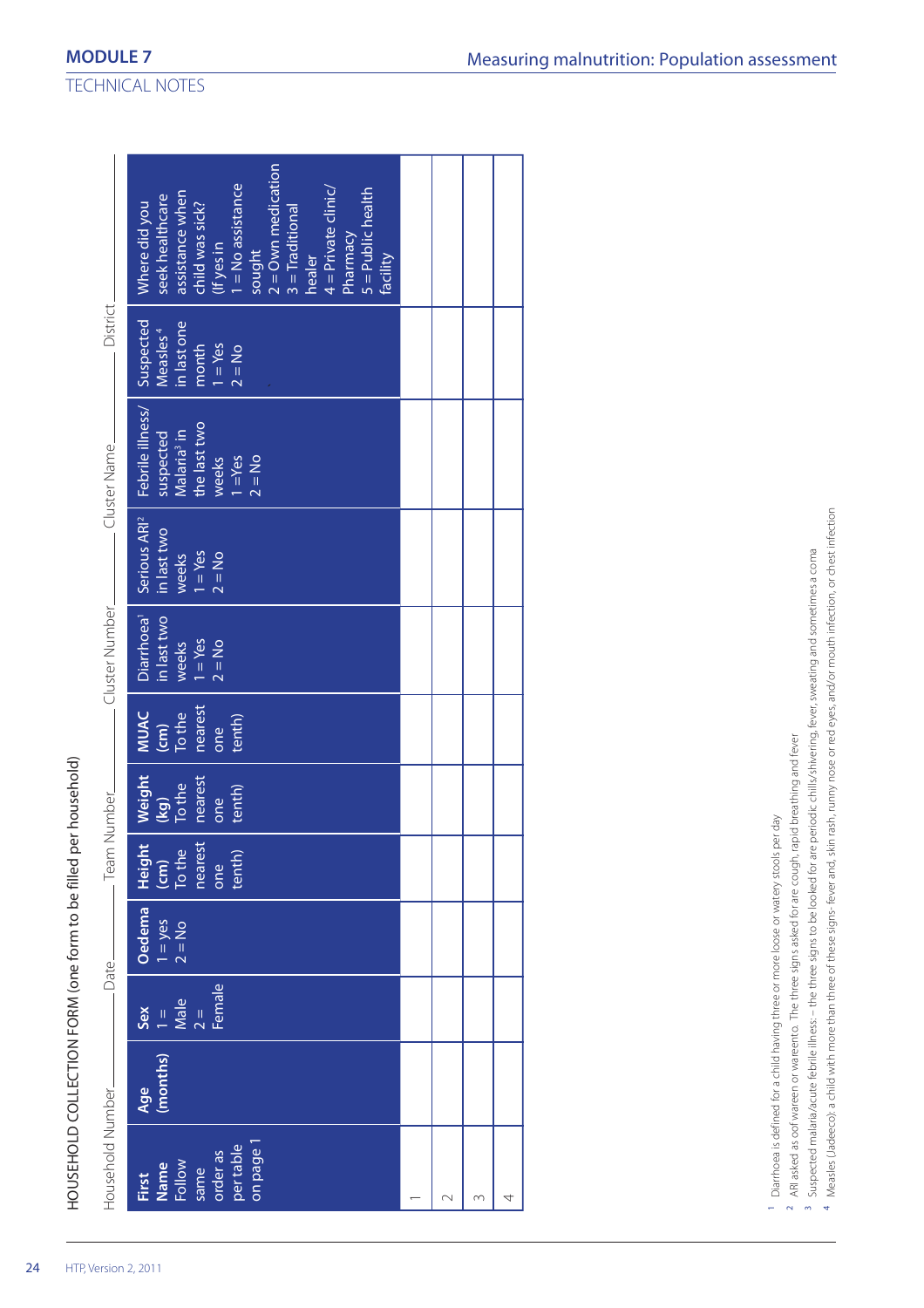| Suspected<br>n last one<br>Measles <sup>4</sup><br>month<br>$1 = Yes$<br>$2 = No$                                    |                                                                                                                                                                                                                                                    |        |   |   |
|----------------------------------------------------------------------------------------------------------------------|----------------------------------------------------------------------------------------------------------------------------------------------------------------------------------------------------------------------------------------------------|--------|---|---|
| Febrile illness/<br>Malaria <sup>3</sup> in<br>the last two<br>suspected<br>$2 = No$<br>weeks<br>$\frac{1}{1}$ = Yes |                                                                                                                                                                                                                                                    |        |   |   |
| Serious ARI <sup>2</sup><br>in last two<br>weeks<br>$1 = Yes$<br>$1 = Yes$<br>$2 = No$                               |                                                                                                                                                                                                                                                    |        |   |   |
| Diarrhoea <sup>1</sup><br>in last two<br>$1 = Yes$<br>weeks<br>$2 = No$                                              |                                                                                                                                                                                                                                                    |        |   |   |
| nearest<br>MUAC<br>$\frac{(cm)}{To the}$<br>tenth)<br>one                                                            |                                                                                                                                                                                                                                                    |        |   |   |
| Weight<br>nearest<br>To the<br>tenth)<br>$\overline{\mathbf{g}}$<br>one                                              |                                                                                                                                                                                                                                                    |        |   |   |
| nearest<br>$\frac{1}{\sqrt{2}}$<br>Height<br>tenth)<br>one                                                           |                                                                                                                                                                                                                                                    |        |   |   |
| Oedema<br>$1 = yes$<br>$2 = No$                                                                                      |                                                                                                                                                                                                                                                    |        |   |   |
| Female<br>$1 =$<br>Male<br>Sex<br>$\frac{1}{2}$                                                                      |                                                                                                                                                                                                                                                    |        |   |   |
| (months)<br>Age                                                                                                      |                                                                                                                                                                                                                                                    |        |   |   |
| on page 1<br>per table<br>order as<br>Name<br>Follow<br>same<br>First                                                |                                                                                                                                                                                                                                                    | $\sim$ | S | 4 |
|                                                                                                                      | $2 =$ Own medication<br>$3 =$ Traditional<br>$=$ No assistance<br>$4$ = Private clinic/<br>$5 =$ Public health<br>assistance when<br>child was sick?<br>seek healthcare<br>Where did you<br>Pharmacy<br>sought<br>(If yes in<br>healer<br>facility |        |   |   |

 $\overline{a}$ 

- ARI asked as oof wareen or wareento. The three signs asked for are cough, rapid breathing and fever ARI asked as oof wareen or wareento. The three signs asked for are cough, rapid breathing and fever  $\overline{a}$
- Suspected malaria/acute febrile illness: the three signs to be looked for are periodic chills/shivering, fever, sweating and sometimes a coma Suspected malaria/acute febrile illness: – the three signs to be looked for are periodic chills/shivering, fever, sweating and sometimes a coma  $\tilde{3}$
- Measles (Jadeeco): a child with more than three of these signs-fever and, skin rash, rumy nose or red eyes, and/or mouth infection, or chest infection Measles (Jadeeco): a child with more than three of these signs- fever and, skin rash, runny nose or red eyes, and/or mouth infection, or chest infection $\rightarrow$

TECHNICAL NOTES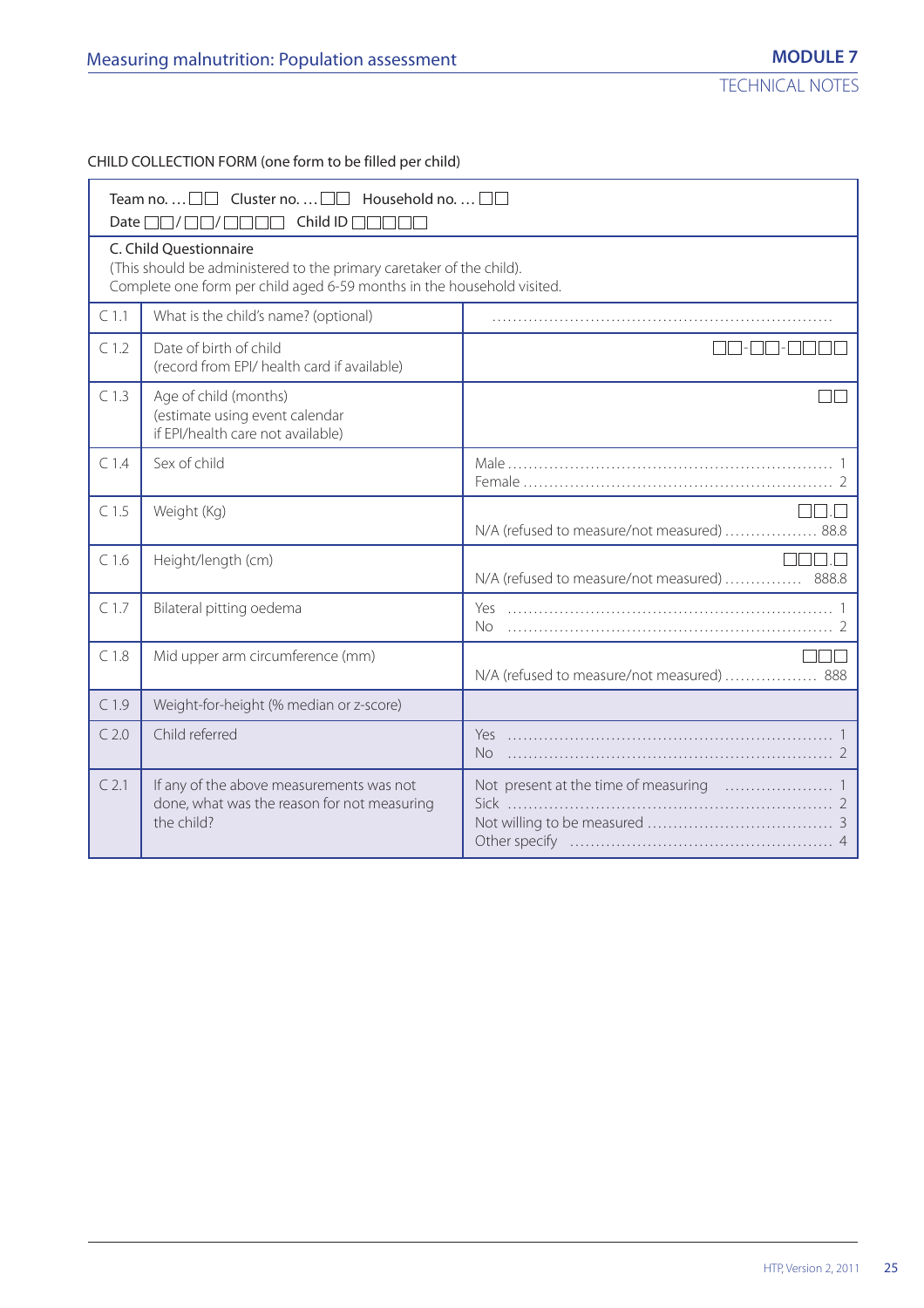CHILD COLLECTION FORM (one form to be filled per child)

| Date l           | Team no. $\Box$ $\Box$ Cluster no. $\Box$ $\Box$ Household no. $\Box$ $\Box$<br>Child ID $\Box$                                                                          |                                              |
|------------------|--------------------------------------------------------------------------------------------------------------------------------------------------------------------------|----------------------------------------------|
|                  | C. Child Questionnaire<br>(This should be administered to the primary caretaker of the child).<br>Complete one form per child aged 6-59 months in the household visited. |                                              |
| C <sub>1.1</sub> | What is the child's name? (optional)                                                                                                                                     |                                              |
| C <sub>1.2</sub> | Date of birth of child<br>(record from EPI/ health card if available)                                                                                                    |                                              |
| C <sub>1.3</sub> | Age of child (months)<br>(estimate using event calendar<br>if EPI/health care not available)                                                                             |                                              |
| C <sub>1.4</sub> | Sex of child                                                                                                                                                             |                                              |
| C <sub>1.5</sub> | Weight (Kg)                                                                                                                                                              | N/A (refused to measure/not measured)  88.8  |
| C1.6             | Height/length (cm)                                                                                                                                                       | N/A (refused to measure/not measured)  888.8 |
| C <sub>1.7</sub> | Bilateral pitting oedema                                                                                                                                                 | No                                           |
| C <sub>1.8</sub> | Mid upper arm circumference (mm)                                                                                                                                         | N/A (refused to measure/not measured)  888   |
| C <sub>1.9</sub> | Weight-for-height (% median or z-score)                                                                                                                                  |                                              |
| C <sub>2.0</sub> | Child referred                                                                                                                                                           | No.                                          |
| $C$ 2.1          | If any of the above measurements was not<br>done, what was the reason for not measuring<br>the child?                                                                    |                                              |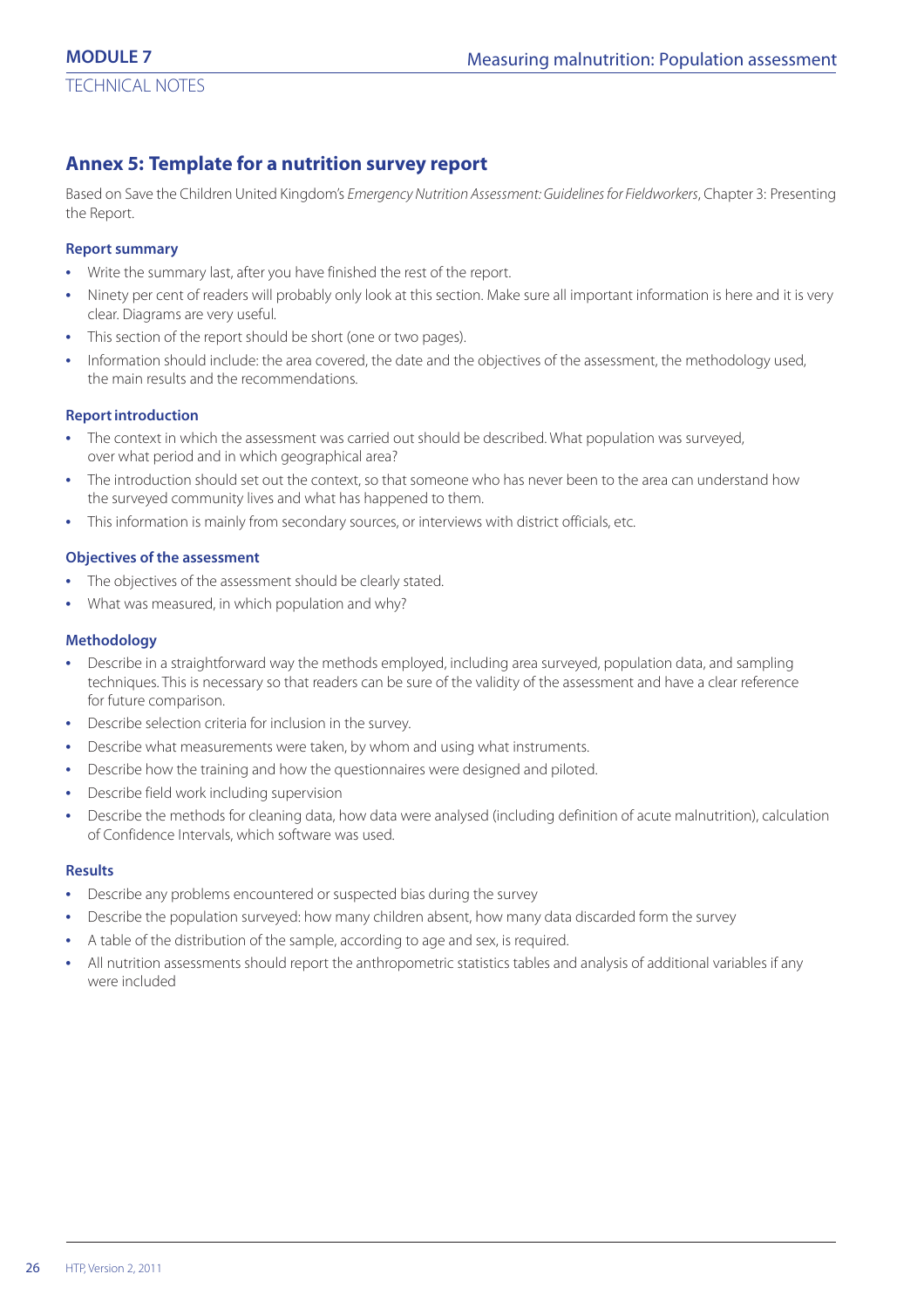# **Annex 5: Template for a nutrition survey report**

Based on Save the Children United Kingdom's Emergency Nutrition Assessment: Guidelines for Fieldworkers, Chapter 3: Presenting the Report.

#### **Report summary**

- **•** Write the summary last, after you have finished the rest of the report.
- **•** Ninety per cent of readers will probably only look at this section. Make sure all important information is here and it is very clear. Diagrams are very useful.
- This section of the report should be short (one or two pages).
- **•** Information should include: the area covered, the date and the objectives of the assessment, the methodology used, the main results and the recommendations.

#### **Report introduction**

- **•** The context in which the assessment was carried out should be described. What population was surveyed, over what period and in which geographical area?
- **•** The introduction should set out the context, so that someone who has never been to the area can understand how the surveyed community lives and what has happened to them.
- **•** This information is mainly from secondary sources, or interviews with district officials, etc.

#### **Objectives of the assessment**

- **•** The objectives of the assessment should be clearly stated.
- **•** What was measured, in which population and why?

#### **Methodology**

- **•** Describe in a straightforward way the methods employed, including area surveyed, population data, and sampling techniques. This is necessary so that readers can be sure of the validity of the assessment and have a clear reference for future comparison.
- **•** Describe selection criteria for inclusion in the survey.
- **•** Describe what measurements were taken, by whom and using what instruments.
- **•** Describe how the training and how the questionnaires were designed and piloted.
- **•** Describe field work including supervision
- **•** Describe the methods for cleaning data, how data were analysed (including definition of acute malnutrition), calculation of Confidence Intervals, which software was used.

#### **Results**

- **•** Describe any problems encountered or suspected bias during the survey
- **•** Describe the population surveyed: how many children absent, how many data discarded form the survey
- **•** A table of the distribution of the sample, according to age and sex, is required.
- **•** All nutrition assessments should report the anthropometric statistics tables and analysis of additional variables if any were included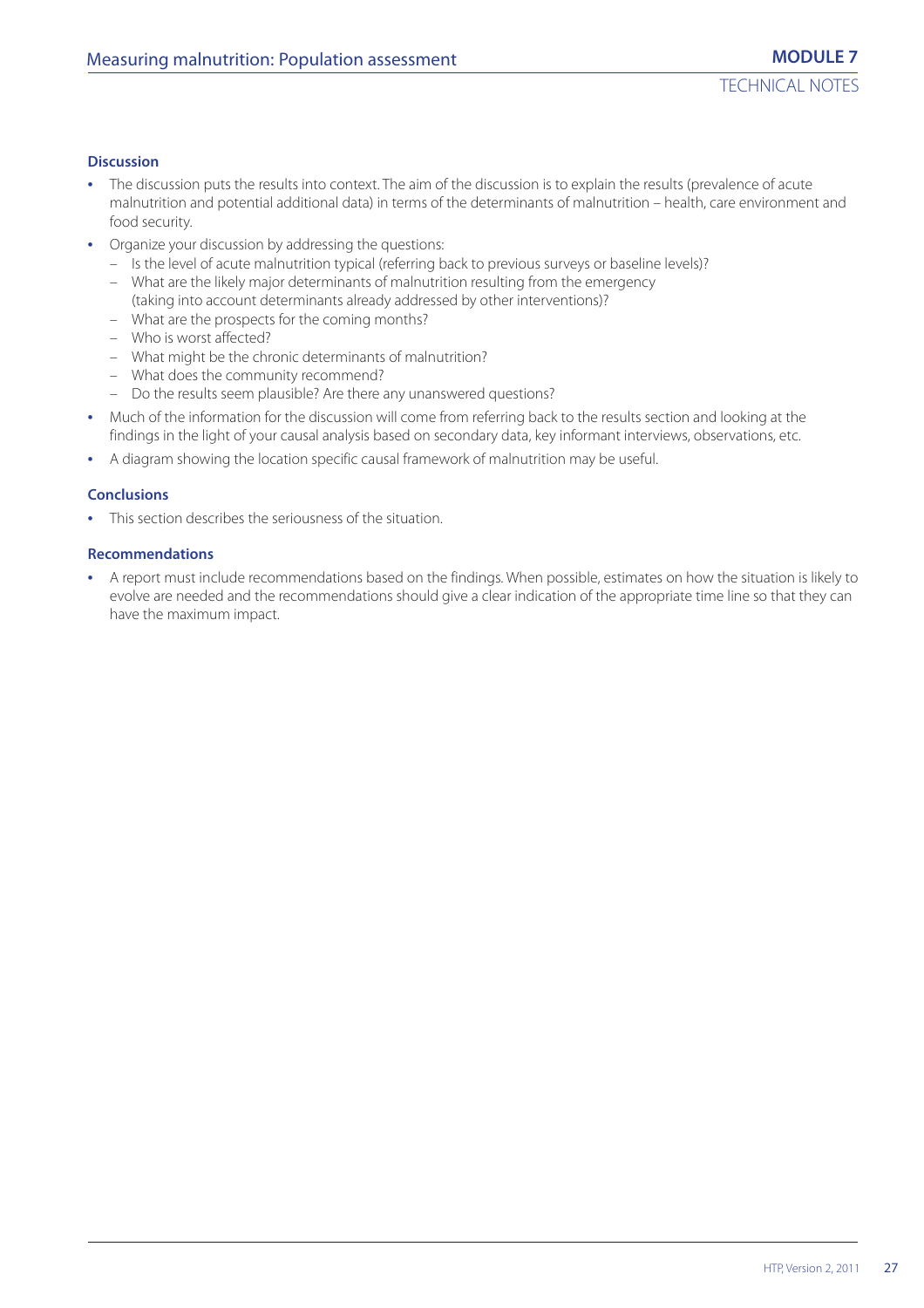#### **Discussion**

- **•** The discussion puts the results into context. The aim of the discussion is to explain the results (prevalence of acute malnutrition and potential additional data) in terms of the determinants of malnutrition – health, care environment and food security.
- **•** Organize your discussion by addressing the questions:
	- Is the level of acute malnutrition typical (referring back to previous surveys or baseline levels)?
	- What are the likely major determinants of malnutrition resulting from the emergency (taking into account determinants already addressed by other interventions)?
	- What are the prospects for the coming months?
	- Who is worst affected?
	- What might be the chronic determinants of malnutrition?
	- What does the community recommend?
	- Do the results seem plausible? Are there any unanswered questions?
- **•** Much of the information for the discussion will come from referring back to the results section and looking at the findings in the light of your causal analysis based on secondary data, key informant interviews, observations, etc.
- **•** A diagram showing the location specific causal framework of malnutrition may be useful.

#### **Conclusions**

**•** This section describes the seriousness of the situation.

#### **Recommendations**

**•** A report must include recommendations based on the findings. When possible, estimates on how the situation is likely to evolve are needed and the recommendations should give a clear indication of the appropriate time line so that they can have the maximum impact.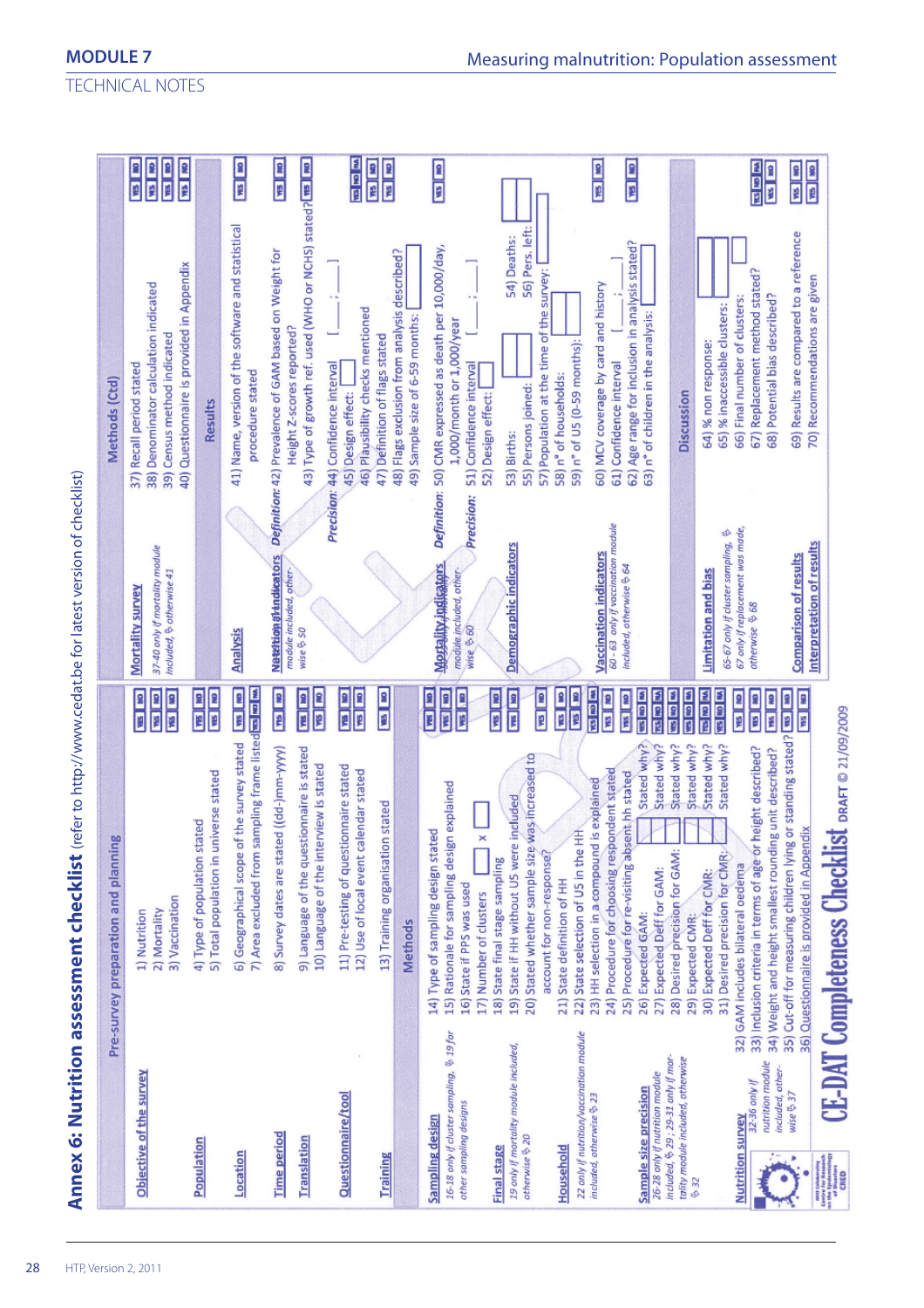|                                                                                                                                                                                                                                                                                                                                                                                                                                                                              | CO<br>Pre-survey preparation and plannin                                                                                                                                                           |                                                                                                                                                                                  | Methods (Ctd)                                                                                                                                       |
|------------------------------------------------------------------------------------------------------------------------------------------------------------------------------------------------------------------------------------------------------------------------------------------------------------------------------------------------------------------------------------------------------------------------------------------------------------------------------|----------------------------------------------------------------------------------------------------------------------------------------------------------------------------------------------------|----------------------------------------------------------------------------------------------------------------------------------------------------------------------------------|-----------------------------------------------------------------------------------------------------------------------------------------------------|
| Objective of the survey                                                                                                                                                                                                                                                                                                                                                                                                                                                      | 3) Vaccination<br>2) Mortality<br>1) Nutrition                                                                                                                                                     | 37-40 only if mortality module<br>included, & otherwise 41<br>Mortality survey<br>国家<br><b>ME DO</b><br><b>RES</b>   RO                                                          | 40) Questionnaire is provided in Appendix<br>Denominator calculation indicated<br>39) Census method indicated<br>Recall period stated<br>38)<br>37) |
| Population                                                                                                                                                                                                                                                                                                                                                                                                                                                                   | 5) Total population in universe stated<br>4) Type of population stated                                                                                                                             | <b>THE NO</b><br><b>CRI SA</b>                                                                                                                                                   | Results                                                                                                                                             |
| Location                                                                                                                                                                                                                                                                                                                                                                                                                                                                     | 7) Area excluded from sampling frame listed <b>in limited</b><br>6) Geographical scope of the survey stated                                                                                        | <b>Analysis</b><br><b>CRI</b> ERI                                                                                                                                                | 41) Name, version of the software and statistical<br>procedure stated                                                                               |
| <b>Time period</b>                                                                                                                                                                                                                                                                                                                                                                                                                                                           | 8) Survey dates are stated ((dd-)mm-yyyy)                                                                                                                                                          | Nataltion al Indicators<br>module included, other-<br><b>PIS 80</b>                                                                                                              | Definition: 42) Prevalence of GAM based on Weight for<br>Height Z-scores reported?                                                                  |
| Translation                                                                                                                                                                                                                                                                                                                                                                                                                                                                  | 9) Language of the questionnaire is stated<br>10) Language of the interview is stated                                                                                                              | wise & 50<br><b>CRI RM</b><br><b>MB</b>   MO                                                                                                                                     | 43) Type of growth ref. used (WHO or NCHS) stated? [188] 110                                                                                        |
| Questionnaire/tool                                                                                                                                                                                                                                                                                                                                                                                                                                                           | 11) Pre-testing of questionnaire stated<br>12) Use of local event calendar stated                                                                                                                  | on [su<br><b>CK BA</b>                                                                                                                                                           | 46) Plausibility checks mentioned<br>Precision: 44) Confidence interval<br>45) Design effect:                                                       |
| <b>Training</b>                                                                                                                                                                                                                                                                                                                                                                                                                                                              | 13) Training organisation stated                                                                                                                                                                   | <b>ON   SM</b>                                                                                                                                                                   | 47) Definition of flags stated                                                                                                                      |
|                                                                                                                                                                                                                                                                                                                                                                                                                                                                              | <b>Methods</b>                                                                                                                                                                                     |                                                                                                                                                                                  | 48) Flags exclusion from analysis described?<br>49) Sample size of 6-59 months:                                                                     |
| 16-18 only if cluster sampling, $9$ 19 for<br>other sampling designs<br>Sampling design                                                                                                                                                                                                                                                                                                                                                                                      | 15) Rationale for sampling design explained<br>14) Type of sampling design stated<br>$\times$<br>16) State if PPS was used<br>17) Number of clusters                                               | Definition:<br>Precision:<br>Mortality indicators<br>module included, other-<br>wise & 60<br><b>CRI EM</b><br>198 584<br><b>CRY</b> (SM)                                         | 50) CMR expressed as death per 10,000/day,<br>1,000/month or 1,000/year<br>51) Confidence interval<br>52) Design effect:                            |
| 19 only if mortality module included,<br>otherwise <> 20<br><b>Final stage</b>                                                                                                                                                                                                                                                                                                                                                                                               | 20) Stated whether sample size was increased to<br>included<br>19) State if HH without U5 were<br>18) State final stage sampling                                                                   | Demographic indicators<br><b>CRE</b> ERE<br>143 80<br><b>MB</b> 180                                                                                                              | 56) Pers. left:<br>54) Deaths:<br>55) Persons joined:<br>53) Births:                                                                                |
| 22 only if nutrition/vaccination module<br>Household                                                                                                                                                                                                                                                                                                                                                                                                                         | 22) State selection of U5 in the HH<br>account for non-response?<br>21) State definition of HH                                                                                                     | <b>MES</b>   NO<br>国图                                                                                                                                                            | 57) Population at the time of the survey:<br>59) n° of U5 (0-59 months):<br>58) n° of households:                                                   |
| Sample size precision<br>included, otherwise & 23                                                                                                                                                                                                                                                                                                                                                                                                                            | Stated why?<br>24) Procedure for choosing respondent stated<br>25) Procedure for re-visiting absent hh stated<br>23) HH selection in a compound is explained<br>26) Expected GAM:                  | 60 - 63 only if vaccination module<br><b>Vaccination indicators</b><br>included, otherwise & 64<br><b>Mill dial sas</b><br><b>RES</b>   REV<br><b>ON   SM</b><br><b>WE NO NV</b> | 62) Age range for inclusion in analysis stated?<br>60) MCV coverage by card and history<br>61) Confidence interval                                  |
| included, $629; 29-31$ only if mor-<br>tality module included, otherwise<br>26-28 only if nutrition module<br>\$ 32                                                                                                                                                                                                                                                                                                                                                          | Stated why?<br>Stated why?<br>Stated why?<br>28) Desired precision for GAM:<br>27) Expected Deff for GAM:<br>29) Expected CMR:                                                                     | 西国区<br><b>WE KO NA</b><br><b>ARE DID NOT</b>                                                                                                                                     | 63) n° of children in the analysis:<br>Discussion                                                                                                   |
| 32-36 only if<br><b>Nutrition survey</b>                                                                                                                                                                                                                                                                                                                                                                                                                                     | Stated why?<br>Stated why?<br>height described?<br>31) Desired precision for CMR:/<br>33) Inclusion criteria in terms of age or<br>32) GAM includes bilateral oedema<br>30) Expected Deff for CMR: | 67 only if replacement was made,<br>ళ<br>65-67 only if cluster sampling,<br>Limitation and bias<br>otherwise \$68<br>医包围<br>医医室<br><b>SALIS</b><br><b>ON   SA</b>                | 67) Replacement method stated?<br>66) Final number of clusters:<br>65) % inaccessible clusters:<br>64) % non response:                              |
| nutrition module<br>included, other-<br>wise & 37                                                                                                                                                                                                                                                                                                                                                                                                                            | or standing stated?<br>g unit described?<br>36) Questionnaire is provided in Appendix<br>34) Weight and height smallest roundin<br>35) Cut-off for measuring children lying                        | <b>Comparison of results</b><br><b>CON   SUA</b><br><b>CRI 535</b><br><b>THIS</b>   AID                                                                                          | 69) Results are compared to a reference<br>68) Potential bias described?                                                                            |
| $\begin{array}{l} \hbox{non Gaussian}\\ \hbox{curve for the process}\\ \hbox{on the Theorem}\\ \hbox{of a random}\\ \hbox{of a random}\\ \hbox{of a random}\\ \hbox{of a random}\\ \hbox{of $E$} \hbox{and}\\ \hbox{of $E$} \hbox{and}\\ \hbox{of $E$} \hbox{and}\\ \hbox{of $E$} \hbox{and}\\ \hbox{of $E$} \hbox{and}\\ \hbox{of $E$} \hbox{and}\\ \hbox{of $E$} \hbox{and}\\ \hbox{of $E$} \hbox{and}\\ \hbox{of $E$} \hbox{and}\\ \hbox{of $E$} \hbox{and}\\ \hbox{of $$ | <b>CE-DAT Completeness Checklist DRAFT © 21/09/2009</b>                                                                                                                                            | Interpretation of results                                                                                                                                                        | 70) Recommendations are given                                                                                                                       |

TECHNICAL NOTES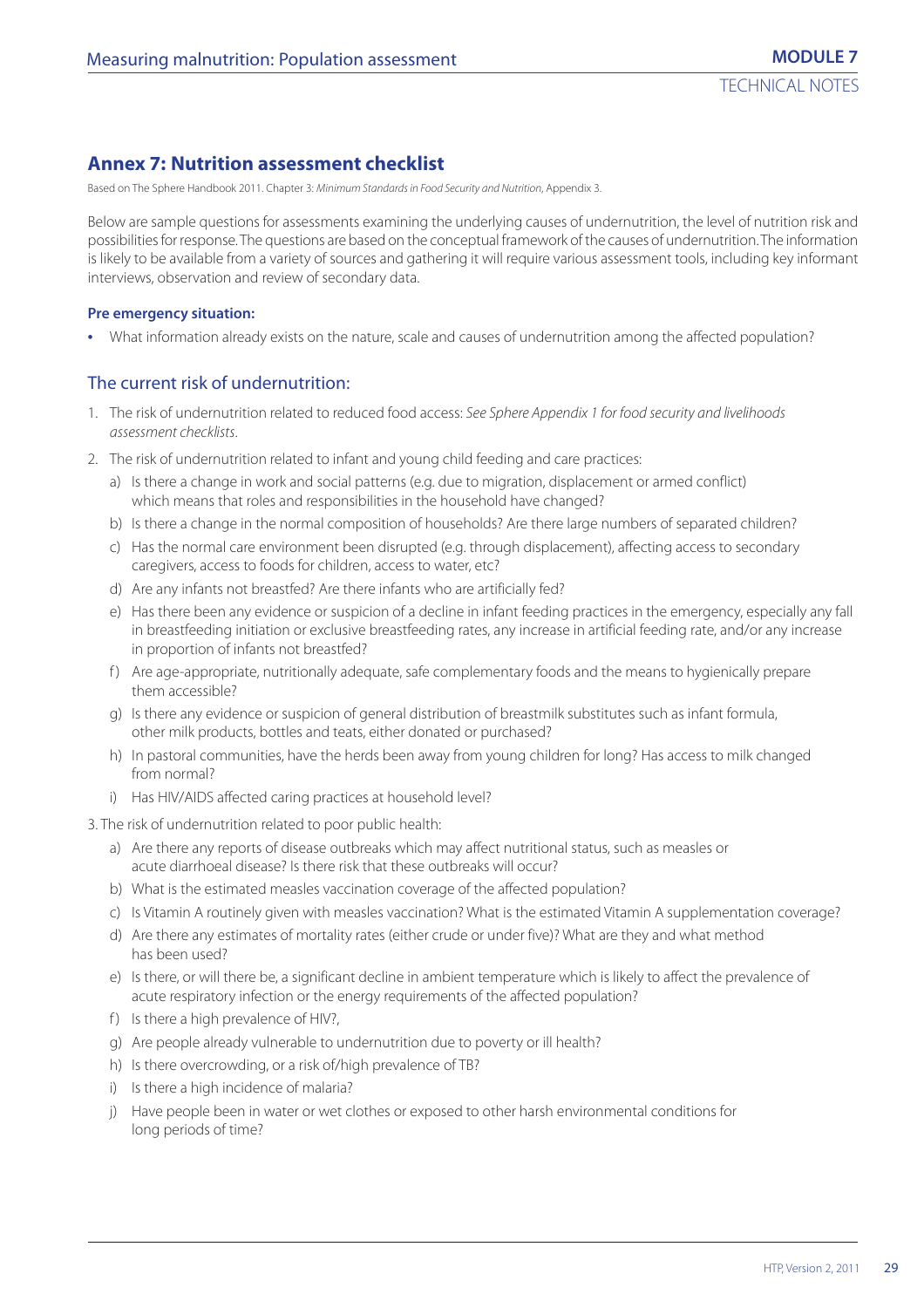# **Annex 7: Nutrition assessment checklist**

Based on The Sphere Handbook 2011. Chapter 3: Minimum Standards in Food Security and Nutrition, Appendix 3.

Below are sample questions for assessments examining the underlying causes of undernutrition, the level of nutrition risk and possibilities for response. The questions are based on the conceptual framework of the causes of undernutrition. The information is likely to be available from a variety of sources and gathering it will require various assessment tools, including key informant interviews, observation and review of secondary data.

#### **Pre emergency situation:**

**•** What information already exists on the nature, scale and causes of undernutrition among the affected population?

#### The current risk of undernutrition:

- 1. The risk of undernutrition related to reduced food access: See Sphere Appendix 1 for food security and livelihoods assessment checklists.
- 2. The risk of undernutrition related to infant and young child feeding and care practices:
	- a) Is there a change in work and social patterns (e.g. due to migration, displacement or armed conflict) which means that roles and responsibilities in the household have changed?
	- b) Is there a change in the normal composition of households? Are there large numbers of separated children?
	- c) Has the normal care environment been disrupted (e.g. through displacement), affecting access to secondary caregivers, access to foods for children, access to water, etc?
	- d) Are any infants not breastfed? Are there infants who are artificially fed?
	- e) Has there been any evidence or suspicion of a decline in infant feeding practices in the emergency, especially any fall in breastfeeding initiation or exclusive breastfeeding rates, any increase in artificial feeding rate, and/or any increase in proportion of infants not breastfed?
	- f ) Are age-appropriate, nutritionally adequate, safe complementary foods and the means to hygienically prepare them accessible?
	- g) Is there any evidence or suspicion of general distribution of breastmilk substitutes such as infant formula, other milk products, bottles and teats, either donated or purchased?
	- h) In pastoral communities, have the herds been away from young children for long? Has access to milk changed from normal?
	- i) Has HIV/AIDS affected caring practices at household level?

3. The risk of undernutrition related to poor public health:

- a) Are there any reports of disease outbreaks which may affect nutritional status, such as measles or acute diarrhoeal disease? Is there risk that these outbreaks will occur?
- b) What is the estimated measles vaccination coverage of the affected population?
- c) Is Vitamin A routinely given with measles vaccination? What is the estimated Vitamin A supplementation coverage?
- d) Are there any estimates of mortality rates (either crude or under five)? What are they and what method has been used?
- e) Is there, or will there be, a significant decline in ambient temperature which is likely to affect the prevalence of acute respiratory infection or the energy requirements of the affected population?
- f) Is there a high prevalence of HIV?,
- g) Are people already vulnerable to undernutrition due to poverty or ill health?
- h) Is there overcrowding, or a risk of/high prevalence of TB?
- i) Is there a high incidence of malaria?
- j) Have people been in water or wet clothes or exposed to other harsh environmental conditions for long periods of time?